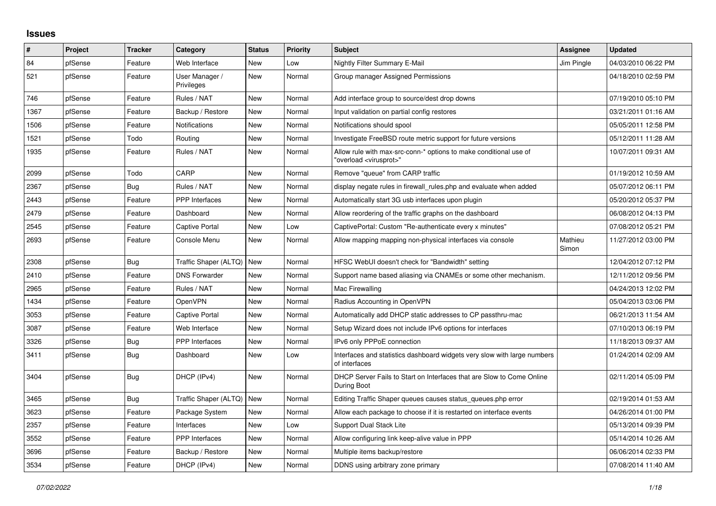## **Issues**

| ∦    | Project | <b>Tracker</b> | Category                     | <b>Status</b> | <b>Priority</b> | <b>Subject</b>                                                                                          | Assignee         | <b>Updated</b>      |
|------|---------|----------------|------------------------------|---------------|-----------------|---------------------------------------------------------------------------------------------------------|------------------|---------------------|
| 84   | pfSense | Feature        | Web Interface                | <b>New</b>    | Low             | Nightly Filter Summary E-Mail                                                                           | Jim Pingle       | 04/03/2010 06:22 PM |
| 521  | pfSense | Feature        | User Manager /<br>Privileges | <b>New</b>    | Normal          | Group manager Assigned Permissions                                                                      |                  | 04/18/2010 02:59 PM |
| 746  | pfSense | Feature        | Rules / NAT                  | <b>New</b>    | Normal          | Add interface group to source/dest drop downs                                                           |                  | 07/19/2010 05:10 PM |
| 1367 | pfSense | Feature        | Backup / Restore             | New           | Normal          | Input validation on partial config restores                                                             |                  | 03/21/2011 01:16 AM |
| 1506 | pfSense | Feature        | Notifications                | <b>New</b>    | Normal          | Notifications should spool                                                                              |                  | 05/05/2011 12:58 PM |
| 1521 | pfSense | Todo           | Routing                      | New           | Normal          | Investigate FreeBSD route metric support for future versions                                            |                  | 05/12/2011 11:28 AM |
| 1935 | pfSense | Feature        | Rules / NAT                  | <b>New</b>    | Normal          | Allow rule with max-src-conn-* options to make conditional use of<br>"overload <virusprot>"</virusprot> |                  | 10/07/2011 09:31 AM |
| 2099 | pfSense | Todo           | CARP                         | <b>New</b>    | Normal          | Remove "queue" from CARP traffic                                                                        |                  | 01/19/2012 10:59 AM |
| 2367 | pfSense | Bug            | Rules / NAT                  | New           | Normal          | display negate rules in firewall_rules.php and evaluate when added                                      |                  | 05/07/2012 06:11 PM |
| 2443 | pfSense | Feature        | <b>PPP</b> Interfaces        | <b>New</b>    | Normal          | Automatically start 3G usb interfaces upon plugin                                                       |                  | 05/20/2012 05:37 PM |
| 2479 | pfSense | Feature        | Dashboard                    | <b>New</b>    | Normal          | Allow reordering of the traffic graphs on the dashboard                                                 |                  | 06/08/2012 04:13 PM |
| 2545 | pfSense | Feature        | Captive Portal               | <b>New</b>    | Low             | CaptivePortal: Custom "Re-authenticate every x minutes"                                                 |                  | 07/08/2012 05:21 PM |
| 2693 | pfSense | Feature        | Console Menu                 | New           | Normal          | Allow mapping mapping non-physical interfaces via console                                               | Mathieu<br>Simon | 11/27/2012 03:00 PM |
| 2308 | pfSense | Bug            | Traffic Shaper (ALTQ)        | <b>New</b>    | Normal          | HFSC WebUI doesn't check for "Bandwidth" setting                                                        |                  | 12/04/2012 07:12 PM |
| 2410 | pfSense | Feature        | <b>DNS Forwarder</b>         | <b>New</b>    | Normal          | Support name based aliasing via CNAMEs or some other mechanism.                                         |                  | 12/11/2012 09:56 PM |
| 2965 | pfSense | Feature        | Rules / NAT                  | New           | Normal          | Mac Firewalling                                                                                         |                  | 04/24/2013 12:02 PM |
| 1434 | pfSense | Feature        | OpenVPN                      | <b>New</b>    | Normal          | Radius Accounting in OpenVPN                                                                            |                  | 05/04/2013 03:06 PM |
| 3053 | pfSense | Feature        | Captive Portal               | <b>New</b>    | Normal          | Automatically add DHCP static addresses to CP passthru-mac                                              |                  | 06/21/2013 11:54 AM |
| 3087 | pfSense | Feature        | Web Interface                | <b>New</b>    | Normal          | Setup Wizard does not include IPv6 options for interfaces                                               |                  | 07/10/2013 06:19 PM |
| 3326 | pfSense | Bug            | PPP Interfaces               | <b>New</b>    | Normal          | IPv6 only PPPoE connection                                                                              |                  | 11/18/2013 09:37 AM |
| 3411 | pfSense | Bug            | Dashboard                    | <b>New</b>    | Low             | Interfaces and statistics dashboard widgets very slow with large numbers<br>of interfaces               |                  | 01/24/2014 02:09 AM |
| 3404 | pfSense | Bug            | DHCP (IPv4)                  | <b>New</b>    | Normal          | DHCP Server Fails to Start on Interfaces that are Slow to Come Online<br>During Boot                    |                  | 02/11/2014 05:09 PM |
| 3465 | pfSense | <b>Bug</b>     | Traffic Shaper (ALTQ)        | <b>New</b>    | Normal          | Editing Traffic Shaper queues causes status_queues.php error                                            |                  | 02/19/2014 01:53 AM |
| 3623 | pfSense | Feature        | Package System               | <b>New</b>    | Normal          | Allow each package to choose if it is restarted on interface events                                     |                  | 04/26/2014 01:00 PM |
| 2357 | pfSense | Feature        | Interfaces                   | New           | Low             | Support Dual Stack Lite                                                                                 |                  | 05/13/2014 09:39 PM |
| 3552 | pfSense | Feature        | <b>PPP</b> Interfaces        | <b>New</b>    | Normal          | Allow configuring link keep-alive value in PPP                                                          |                  | 05/14/2014 10:26 AM |
| 3696 | pfSense | Feature        | Backup / Restore             | <b>New</b>    | Normal          | Multiple items backup/restore                                                                           |                  | 06/06/2014 02:33 PM |
| 3534 | pfSense | Feature        | DHCP (IPv4)                  | <b>New</b>    | Normal          | DDNS using arbitrary zone primary                                                                       |                  | 07/08/2014 11:40 AM |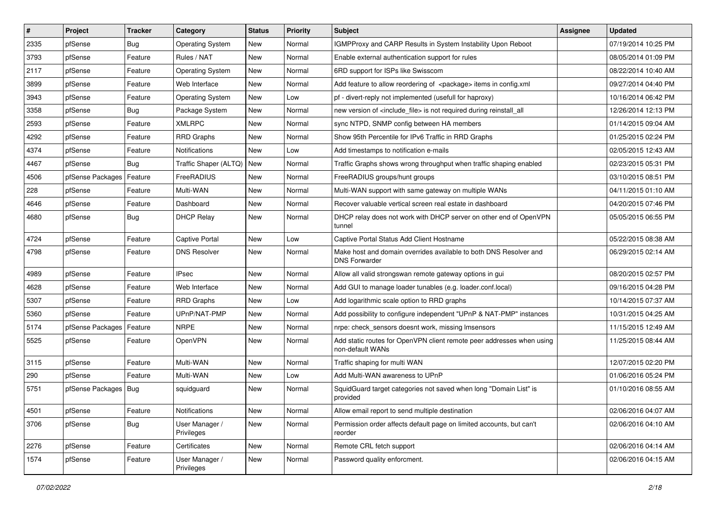| $\vert$ # | Project                | <b>Tracker</b> | Category                     | <b>Status</b> | <b>Priority</b> | <b>Subject</b>                                                                            | <b>Assignee</b> | <b>Updated</b>      |
|-----------|------------------------|----------------|------------------------------|---------------|-----------------|-------------------------------------------------------------------------------------------|-----------------|---------------------|
| 2335      | pfSense                | Bug            | <b>Operating System</b>      | New           | Normal          | IGMPProxy and CARP Results in System Instability Upon Reboot                              |                 | 07/19/2014 10:25 PM |
| 3793      | pfSense                | Feature        | Rules / NAT                  | <b>New</b>    | Normal          | Enable external authentication support for rules                                          |                 | 08/05/2014 01:09 PM |
| 2117      | pfSense                | Feature        | <b>Operating System</b>      | <b>New</b>    | Normal          | 6RD support for ISPs like Swisscom                                                        |                 | 08/22/2014 10:40 AM |
| 3899      | pfSense                | Feature        | Web Interface                | <b>New</b>    | Normal          | Add feature to allow reordering of <package> items in config.xml</package>                |                 | 09/27/2014 04:40 PM |
| 3943      | pfSense                | Feature        | <b>Operating System</b>      | <b>New</b>    | Low             | pf - divert-reply not implemented (usefull for haproxy)                                   |                 | 10/16/2014 06:42 PM |
| 3358      | pfSense                | Bug            | Package System               | New           | Normal          | new version of <include file=""> is not required during reinstall all</include>           |                 | 12/26/2014 12:13 PM |
| 2593      | pfSense                | Feature        | <b>XMLRPC</b>                | <b>New</b>    | Normal          | sync NTPD, SNMP config between HA members                                                 |                 | 01/14/2015 09:04 AM |
| 4292      | pfSense                | Feature        | <b>RRD Graphs</b>            | <b>New</b>    | Normal          | Show 95th Percentile for IPv6 Traffic in RRD Graphs                                       |                 | 01/25/2015 02:24 PM |
| 4374      | pfSense                | Feature        | Notifications                | <b>New</b>    | Low             | Add timestamps to notification e-mails                                                    |                 | 02/05/2015 12:43 AM |
| 4467      | pfSense                | Bug            | Traffic Shaper (ALTQ)        | <b>New</b>    | Normal          | Traffic Graphs shows wrong throughput when traffic shaping enabled                        |                 | 02/23/2015 05:31 PM |
| 4506      | pfSense Packages       | Feature        | FreeRADIUS                   | <b>New</b>    | Normal          | FreeRADIUS groups/hunt groups                                                             |                 | 03/10/2015 08:51 PM |
| 228       | pfSense                | Feature        | Multi-WAN                    | <b>New</b>    | Normal          | Multi-WAN support with same gateway on multiple WANs                                      |                 | 04/11/2015 01:10 AM |
| 4646      | pfSense                | Feature        | Dashboard                    | <b>New</b>    | Normal          | Recover valuable vertical screen real estate in dashboard                                 |                 | 04/20/2015 07:46 PM |
| 4680      | pfSense                | <b>Bug</b>     | <b>DHCP Relay</b>            | <b>New</b>    | Normal          | DHCP relay does not work with DHCP server on other end of OpenVPN<br>tunnel               |                 | 05/05/2015 06:55 PM |
| 4724      | pfSense                | Feature        | Captive Portal               | <b>New</b>    | Low             | Captive Portal Status Add Client Hostname                                                 |                 | 05/22/2015 08:38 AM |
| 4798      | pfSense                | Feature        | <b>DNS Resolver</b>          | <b>New</b>    | Normal          | Make host and domain overrides available to both DNS Resolver and<br><b>DNS Forwarder</b> |                 | 06/29/2015 02:14 AM |
| 4989      | pfSense                | Feature        | <b>IPsec</b>                 | <b>New</b>    | Normal          | Allow all valid strongswan remote gateway options in gui                                  |                 | 08/20/2015 02:57 PM |
| 4628      | pfSense                | Feature        | Web Interface                | <b>New</b>    | Normal          | Add GUI to manage loader tunables (e.g. loader.conf.local)                                |                 | 09/16/2015 04:28 PM |
| 5307      | pfSense                | Feature        | <b>RRD Graphs</b>            | <b>New</b>    | Low             | Add logarithmic scale option to RRD graphs                                                |                 | 10/14/2015 07:37 AM |
| 5360      | pfSense                | Feature        | UPnP/NAT-PMP                 | New           | Normal          | Add possibility to configure independent "UPnP & NAT-PMP" instances                       |                 | 10/31/2015 04:25 AM |
| 5174      | pfSense Packages       | Feature        | <b>NRPE</b>                  | New           | Normal          | nrpe: check_sensors doesnt work, missing Imsensors                                        |                 | 11/15/2015 12:49 AM |
| 5525      | pfSense                | Feature        | OpenVPN                      | <b>New</b>    | Normal          | Add static routes for OpenVPN client remote peer addresses when using<br>non-default WANs |                 | 11/25/2015 08:44 AM |
| 3115      | pfSense                | Feature        | Multi-WAN                    | <b>New</b>    | Normal          | Traffic shaping for multi WAN                                                             |                 | 12/07/2015 02:20 PM |
| 290       | pfSense                | Feature        | Multi-WAN                    | <b>New</b>    | Low             | Add Multi-WAN awareness to UPnP                                                           |                 | 01/06/2016 05:24 PM |
| 5751      | pfSense Packages   Bug |                | squidguard                   | New           | Normal          | SquidGuard target categories not saved when long "Domain List" is<br>provided             |                 | 01/10/2016 08:55 AM |
| 4501      | pfSense                | Feature        | Notifications                | New           | Normal          | Allow email report to send multiple destination                                           |                 | 02/06/2016 04:07 AM |
| 3706      | pfSense                | <b>Bug</b>     | User Manager /<br>Privileges | New           | Normal          | Permission order affects default page on limited accounts, but can't<br>reorder           |                 | 02/06/2016 04:10 AM |
| 2276      | pfSense                | Feature        | Certificates                 | New           | Normal          | Remote CRL fetch support                                                                  |                 | 02/06/2016 04:14 AM |
| 1574      | pfSense                | Feature        | User Manager /<br>Privileges | New           | Normal          | Password quality enforcment.                                                              |                 | 02/06/2016 04:15 AM |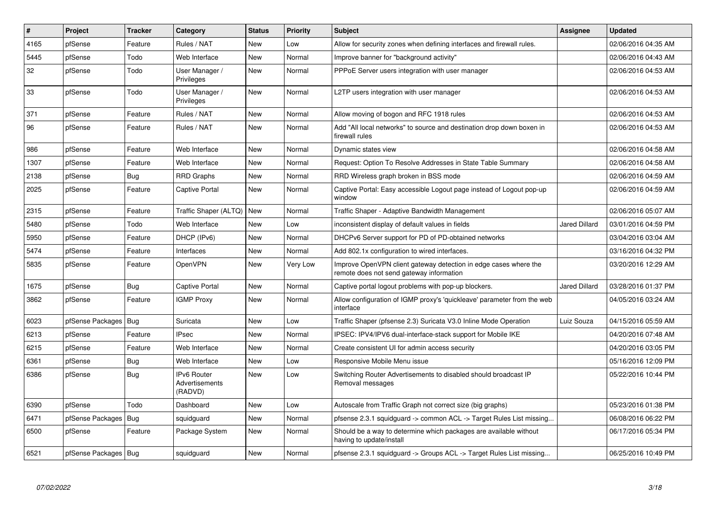| $\pmb{\sharp}$ | Project                | <b>Tracker</b> | Category                                 | <b>Status</b> | <b>Priority</b> | <b>Subject</b>                                                                                               | Assignee             | <b>Updated</b>      |
|----------------|------------------------|----------------|------------------------------------------|---------------|-----------------|--------------------------------------------------------------------------------------------------------------|----------------------|---------------------|
| 4165           | pfSense                | Feature        | Rules / NAT                              | <b>New</b>    | Low             | Allow for security zones when defining interfaces and firewall rules.                                        |                      | 02/06/2016 04:35 AM |
| 5445           | pfSense                | Todo           | Web Interface                            | <b>New</b>    | Normal          | Improve banner for "background activity"                                                                     |                      | 02/06/2016 04:43 AM |
| 32             | pfSense                | Todo           | User Manager /<br>Privileges             | <b>New</b>    | Normal          | PPPoE Server users integration with user manager                                                             |                      | 02/06/2016 04:53 AM |
| 33             | pfSense                | Todo           | User Manager /<br>Privileges             | New           | Normal          | L2TP users integration with user manager                                                                     |                      | 02/06/2016 04:53 AM |
| 371            | pfSense                | Feature        | Rules / NAT                              | <b>New</b>    | Normal          | Allow moving of bogon and RFC 1918 rules                                                                     |                      | 02/06/2016 04:53 AM |
| 96             | pfSense                | Feature        | Rules / NAT                              | <b>New</b>    | Normal          | Add "All local networks" to source and destination drop down boxen in<br>firewall rules                      |                      | 02/06/2016 04:53 AM |
| 986            | pfSense                | Feature        | Web Interface                            | <b>New</b>    | Normal          | Dynamic states view                                                                                          |                      | 02/06/2016 04:58 AM |
| 1307           | pfSense                | Feature        | Web Interface                            | <b>New</b>    | Normal          | Request: Option To Resolve Addresses in State Table Summary                                                  |                      | 02/06/2016 04:58 AM |
| 2138           | pfSense                | Bug            | RRD Graphs                               | New           | Normal          | RRD Wireless graph broken in BSS mode                                                                        |                      | 02/06/2016 04:59 AM |
| 2025           | pfSense                | Feature        | <b>Captive Portal</b>                    | New           | Normal          | Captive Portal: Easy accessible Logout page instead of Logout pop-up<br>window                               |                      | 02/06/2016 04:59 AM |
| 2315           | pfSense                | Feature        | Traffic Shaper (ALTQ)   New              |               | Normal          | Traffic Shaper - Adaptive Bandwidth Management                                                               |                      | 02/06/2016 05:07 AM |
| 5480           | pfSense                | Todo           | Web Interface                            | New           | Low             | inconsistent display of default values in fields                                                             | <b>Jared Dillard</b> | 03/01/2016 04:59 PM |
| 5950           | pfSense                | Feature        | DHCP (IPv6)                              | <b>New</b>    | Normal          | DHCPv6 Server support for PD of PD-obtained networks                                                         |                      | 03/04/2016 03:04 AM |
| 5474           | pfSense                | Feature        | Interfaces                               | <b>New</b>    | Normal          | Add 802.1x configuration to wired interfaces.                                                                |                      | 03/16/2016 04:32 PM |
| 5835           | pfSense                | Feature        | <b>OpenVPN</b>                           | New           | Very Low        | Improve OpenVPN client gateway detection in edge cases where the<br>remote does not send gateway information |                      | 03/20/2016 12:29 AM |
| 1675           | pfSense                | Bug            | <b>Captive Portal</b>                    | <b>New</b>    | Normal          | Captive portal logout problems with pop-up blockers.                                                         | <b>Jared Dillard</b> | 03/28/2016 01:37 PM |
| 3862           | pfSense                | Feature        | <b>IGMP Proxy</b>                        | New           | Normal          | Allow configuration of IGMP proxy's 'quickleave' parameter from the web<br>interface                         |                      | 04/05/2016 03:24 AM |
| 6023           | pfSense Packages   Bug |                | Suricata                                 | <b>New</b>    | Low             | Traffic Shaper (pfsense 2.3) Suricata V3.0 Inline Mode Operation                                             | Luiz Souza           | 04/15/2016 05:59 AM |
| 6213           | pfSense                | Feature        | <b>IPsec</b>                             | New           | Normal          | IPSEC: IPV4/IPV6 dual-interface-stack support for Mobile IKE                                                 |                      | 04/20/2016 07:48 AM |
| 6215           | pfSense                | Feature        | Web Interface                            | <b>New</b>    | Normal          | Create consistent UI for admin access security                                                               |                      | 04/20/2016 03:05 PM |
| 6361           | pfSense                | Bug            | Web Interface                            | <b>New</b>    | Low             | Responsive Mobile Menu issue                                                                                 |                      | 05/16/2016 12:09 PM |
| 6386           | pfSense                | Bug            | IPv6 Router<br>Advertisements<br>(RADVD) | New           | Low             | Switching Router Advertisements to disabled should broadcast IP<br>Removal messages                          |                      | 05/22/2016 10:44 PM |
| 6390           | pfSense                | Todo           | Dashboard                                | New           | Low             | Autoscale from Traffic Graph not correct size (big graphs)                                                   |                      | 05/23/2016 01:38 PM |
| 6471           | pfSense Packages   Bug |                | squidguard                               | <b>New</b>    | Normal          | pfsense 2.3.1 squidguard -> common ACL -> Target Rules List missing                                          |                      | 06/08/2016 06:22 PM |
| 6500           | pfSense                | Feature        | Package System                           | New           | Normal          | Should be a way to determine which packages are available without<br>having to update/install                |                      | 06/17/2016 05:34 PM |
| 6521           | pfSense Packages   Bug |                | squidguard                               | New           | Normal          | pfsense 2.3.1 squidguard -> Groups ACL -> Target Rules List missing                                          |                      | 06/25/2016 10:49 PM |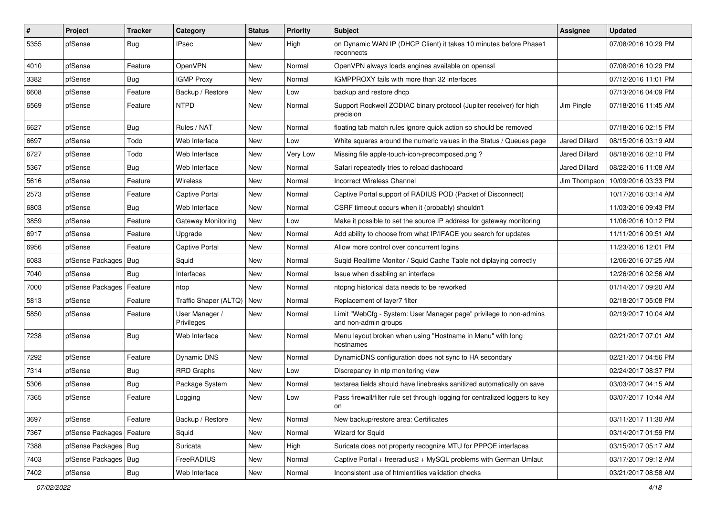| $\vert$ # | Project                | <b>Tracker</b> | Category                     | <b>Status</b> | <b>Priority</b> | <b>Subject</b>                                                                             | Assignee             | <b>Updated</b>                     |
|-----------|------------------------|----------------|------------------------------|---------------|-----------------|--------------------------------------------------------------------------------------------|----------------------|------------------------------------|
| 5355      | pfSense                | Bug            | IPsec                        | New           | High            | on Dynamic WAN IP (DHCP Client) it takes 10 minutes before Phase1<br>reconnects            |                      | 07/08/2016 10:29 PM                |
| 4010      | pfSense                | Feature        | OpenVPN                      | New           | Normal          | OpenVPN always loads engines available on openssl                                          |                      | 07/08/2016 10:29 PM                |
| 3382      | pfSense                | Bug            | <b>IGMP Proxy</b>            | New           | Normal          | IGMPPROXY fails with more than 32 interfaces                                               |                      | 07/12/2016 11:01 PM                |
| 6608      | pfSense                | Feature        | Backup / Restore             | <b>New</b>    | Low             | backup and restore dhcp                                                                    |                      | 07/13/2016 04:09 PM                |
| 6569      | pfSense                | Feature        | <b>NTPD</b>                  | New           | Normal          | Support Rockwell ZODIAC binary protocol (Jupiter receiver) for high<br>precision           | Jim Pingle           | 07/18/2016 11:45 AM                |
| 6627      | pfSense                | Bug            | Rules / NAT                  | <b>New</b>    | Normal          | floating tab match rules ignore quick action so should be removed                          |                      | 07/18/2016 02:15 PM                |
| 6697      | pfSense                | Todo           | Web Interface                | New           | Low             | White squares around the numeric values in the Status / Queues page                        | Jared Dillard        | 08/15/2016 03:19 AM                |
| 6727      | pfSense                | Todo           | Web Interface                | New           | Very Low        | Missing file apple-touch-icon-precomposed.png?                                             | Jared Dillard        | 08/18/2016 02:10 PM                |
| 5367      | pfSense                | Bug            | Web Interface                | New           | Normal          | Safari repeatedly tries to reload dashboard                                                | <b>Jared Dillard</b> | 08/22/2016 11:08 AM                |
| 5616      | pfSense                | Feature        | <b>Wireless</b>              | New           | Normal          | <b>Incorrect Wireless Channel</b>                                                          |                      | Jim Thompson   10/09/2016 03:33 PM |
| 2573      | pfSense                | Feature        | <b>Captive Portal</b>        | <b>New</b>    | Normal          | Captive Portal support of RADIUS POD (Packet of Disconnect)                                |                      | 10/17/2016 03:14 AM                |
| 6803      | pfSense                | Bug            | Web Interface                | <b>New</b>    | Normal          | CSRF timeout occurs when it (probably) shouldn't                                           |                      | 11/03/2016 09:43 PM                |
| 3859      | pfSense                | Feature        | Gateway Monitoring           | <b>New</b>    | Low             | Make it possible to set the source IP address for gateway monitoring                       |                      | 11/06/2016 10:12 PM                |
| 6917      | pfSense                | Feature        | Upgrade                      | New           | Normal          | Add ability to choose from what IP/IFACE you search for updates                            |                      | 11/11/2016 09:51 AM                |
| 6956      | pfSense                | Feature        | <b>Captive Portal</b>        | <b>New</b>    | Normal          | Allow more control over concurrent logins                                                  |                      | 11/23/2016 12:01 PM                |
| 6083      | pfSense Packages       | Bug            | Squid                        | New           | Normal          | Suqid Realtime Monitor / Squid Cache Table not diplaying correctly                         |                      | 12/06/2016 07:25 AM                |
| 7040      | pfSense                | Bug            | Interfaces                   | New           | Normal          | Issue when disabling an interface                                                          |                      | 12/26/2016 02:56 AM                |
| 7000      | pfSense Packages       | Feature        | ntop                         | <b>New</b>    | Normal          | ntopng historical data needs to be reworked                                                |                      | 01/14/2017 09:20 AM                |
| 5813      | pfSense                | Feature        | Traffic Shaper (ALTQ)        | New           | Normal          | Replacement of layer7 filter                                                               |                      | 02/18/2017 05:08 PM                |
| 5850      | pfSense                | Feature        | User Manager /<br>Privileges | New           | Normal          | Limit "WebCfg - System: User Manager page" privilege to non-admins<br>and non-admin groups |                      | 02/19/2017 10:04 AM                |
| 7238      | pfSense                | Bug            | Web Interface                | New           | Normal          | Menu layout broken when using "Hostname in Menu" with long<br>hostnames                    |                      | 02/21/2017 07:01 AM                |
| 7292      | pfSense                | Feature        | Dynamic DNS                  | <b>New</b>    | Normal          | DynamicDNS configuration does not sync to HA secondary                                     |                      | 02/21/2017 04:56 PM                |
| 7314      | pfSense                | Bug            | <b>RRD Graphs</b>            | New           | Low             | Discrepancy in ntp monitoring view                                                         |                      | 02/24/2017 08:37 PM                |
| 5306      | pfSense                | Bug            | Package System               | New           | Normal          | textarea fields should have linebreaks sanitized automatically on save                     |                      | 03/03/2017 04:15 AM                |
| 7365      | pfSense                | Feature        | Logging                      | <b>New</b>    | Low             | Pass firewall/filter rule set through logging for centralized loggers to key<br>on         |                      | 03/07/2017 10:44 AM                |
| 3697      | pfSense                | Feature        | Backup / Restore             | New           | Normal          | New backup/restore area: Certificates                                                      |                      | 03/11/2017 11:30 AM                |
| 7367      | pfSense Packages       | Feature        | Squid                        | New           | Normal          | <b>Wizard for Squid</b>                                                                    |                      | 03/14/2017 01:59 PM                |
| 7388      | pfSense Packages   Bug |                | Suricata                     | New           | High            | Suricata does not property recognize MTU for PPPOE interfaces                              |                      | 03/15/2017 05:17 AM                |
| 7403      | pfSense Packages       | <b>Bug</b>     | FreeRADIUS                   | New           | Normal          | Captive Portal + freeradius2 + MySQL problems with German Umlaut                           |                      | 03/17/2017 09:12 AM                |
| 7402      | pfSense                | Bug            | Web Interface                | New           | Normal          | Inconsistent use of htmlentities validation checks                                         |                      | 03/21/2017 08:58 AM                |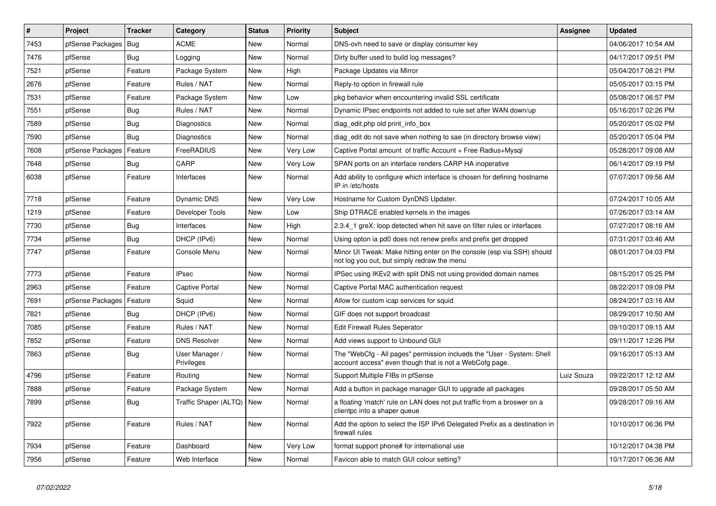| #    | Project                    | <b>Tracker</b> | Category                     | <b>Status</b> | <b>Priority</b> | <b>Subject</b>                                                                                                                    | <b>Assignee</b> | <b>Updated</b>      |
|------|----------------------------|----------------|------------------------------|---------------|-----------------|-----------------------------------------------------------------------------------------------------------------------------------|-----------------|---------------------|
| 7453 | pfSense Packages   Bug     |                | <b>ACME</b>                  | <b>New</b>    | Normal          | DNS-ovh need to save or display consumer key                                                                                      |                 | 04/06/2017 10:54 AM |
| 7476 | pfSense                    | Bug            | Logging                      | <b>New</b>    | Normal          | Dirty buffer used to build log messages?                                                                                          |                 | 04/17/2017 09:51 PM |
| 7521 | pfSense                    | Feature        | Package System               | <b>New</b>    | High            | Package Updates via Mirror                                                                                                        |                 | 05/04/2017 08:21 PM |
| 2676 | pfSense                    | Feature        | Rules / NAT                  | New           | Normal          | Reply-to option in firewall rule                                                                                                  |                 | 05/05/2017 03:15 PM |
| 7531 | pfSense                    | Feature        | Package System               | <b>New</b>    | Low             | pkg behavior when encountering invalid SSL certificate                                                                            |                 | 05/08/2017 06:57 PM |
| 7551 | pfSense                    | Bug            | Rules / NAT                  | <b>New</b>    | Normal          | Dynamic IPsec endpoints not added to rule set after WAN down/up                                                                   |                 | 05/16/2017 02:26 PM |
| 7589 | pfSense                    | Bug            | Diagnostics                  | <b>New</b>    | Normal          | diag edit.php old print info box                                                                                                  |                 | 05/20/2017 05:02 PM |
| 7590 | pfSense                    | Bug            | Diagnostics                  | New           | Normal          | diag edit do not save when nothing to sae (in directory browse view)                                                              |                 | 05/20/2017 05:04 PM |
| 7608 | pfSense Packages           | Feature        | FreeRADIUS                   | <b>New</b>    | Very Low        | Captive Portal amount of traffic Account + Free Radius+Mysql                                                                      |                 | 05/28/2017 09:08 AM |
| 7648 | pfSense                    | Bug            | CARP                         | <b>New</b>    | Very Low        | SPAN ports on an interface renders CARP HA inoperative                                                                            |                 | 06/14/2017 09:19 PM |
| 6038 | pfSense                    | Feature        | Interfaces                   | <b>New</b>    | Normal          | Add ability to configure which interface is chosen for defining hostname<br>IP in /etc/hosts                                      |                 | 07/07/2017 09:56 AM |
| 7718 | pfSense                    | Feature        | <b>Dynamic DNS</b>           | <b>New</b>    | Very Low        | Hostname for Custom DynDNS Updater.                                                                                               |                 | 07/24/2017 10:05 AM |
| 1219 | pfSense                    | Feature        | Developer Tools              | <b>New</b>    | Low             | Ship DTRACE enabled kernels in the images                                                                                         |                 | 07/26/2017 03:14 AM |
| 7730 | pfSense                    | Bug            | Interfaces                   | <b>New</b>    | High            | 2.3.4_1 greX: loop detected when hit save on filter rules or interfaces                                                           |                 | 07/27/2017 08:16 AM |
| 7734 | pfSense                    | Bug            | DHCP (IPv6)                  | <b>New</b>    | Normal          | Using opton ia pd0 does not renew prefix and prefix get dropped                                                                   |                 | 07/31/2017 03:46 AM |
| 7747 | pfSense                    | Feature        | Console Menu                 | New           | Normal          | Minor UI Tweak: Make hitting enter on the console (esp via SSH) should<br>not log you out, but simply redraw the menu             |                 | 08/01/2017 04:03 PM |
| 7773 | pfSense                    | Feature        | <b>IPsec</b>                 | New           | Normal          | IPSec using IKEv2 with split DNS not using provided domain names                                                                  |                 | 08/15/2017 05:25 PM |
| 2963 | pfSense                    | Feature        | <b>Captive Portal</b>        | New           | Normal          | Captive Portal MAC authentication request                                                                                         |                 | 08/22/2017 09:09 PM |
| 7691 | pfSense Packages   Feature |                | Squid                        | New           | Normal          | Allow for custom icap services for squid                                                                                          |                 | 08/24/2017 03:16 AM |
| 7821 | pfSense                    | Bug            | DHCP (IPv6)                  | New           | Normal          | GIF does not support broadcast                                                                                                    |                 | 08/29/2017 10:50 AM |
| 7085 | pfSense                    | Feature        | Rules / NAT                  | <b>New</b>    | Normal          | <b>Edit Firewall Rules Seperator</b>                                                                                              |                 | 09/10/2017 09:15 AM |
| 7852 | pfSense                    | Feature        | <b>DNS Resolver</b>          | New           | Normal          | Add views support to Unbound GUI                                                                                                  |                 | 09/11/2017 12:26 PM |
| 7863 | pfSense                    | Bug            | User Manager /<br>Privileges | New           | Normal          | The "WebCfg - All pages" permission inclueds the "User - System: Shell<br>account access" even though that is not a WebCofg page. |                 | 09/16/2017 05:13 AM |
| 4796 | pfSense                    | Feature        | Routing                      | New           | Normal          | Support Multiple FIBs in pfSense                                                                                                  | Luiz Souza      | 09/22/2017 12:12 AM |
| 7888 | pfSense                    | Feature        | Package System               | <b>New</b>    | Normal          | Add a button in package manager GUI to upgrade all packages                                                                       |                 | 09/28/2017 05:50 AM |
| 7899 | pfSense                    | Bug            | Traffic Shaper (ALTQ)   New  |               | Normal          | a floating 'match' rule on LAN does not put traffic from a broswer on a<br>clientpc into a shaper queue                           |                 | 09/28/2017 09:16 AM |
| 7922 | pfSense                    | Feature        | Rules / NAT                  | New           | Normal          | Add the option to select the ISP IPv6 Delegated Prefix as a destination in<br>firewall rules                                      |                 | 10/10/2017 06:36 PM |
| 7934 | pfSense                    | Feature        | Dashboard                    | <b>New</b>    | Very Low        | format support phone# for international use                                                                                       |                 | 10/12/2017 04:38 PM |
| 7956 | pfSense                    | Feature        | Web Interface                | New           | Normal          | Favicon able to match GUI colour setting?                                                                                         |                 | 10/17/2017 06:36 AM |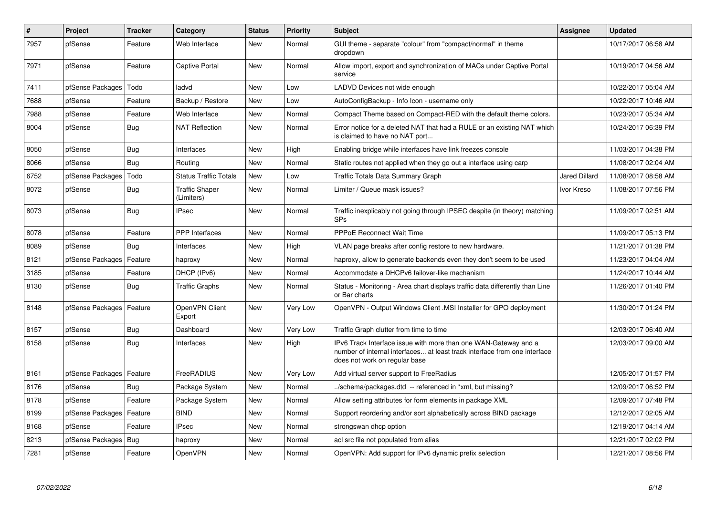| $\pmb{\#}$ | Project                    | <b>Tracker</b> | Category                            | <b>Status</b> | <b>Priority</b> | <b>Subject</b>                                                                                                                                                                | Assignee             | <b>Updated</b>      |
|------------|----------------------------|----------------|-------------------------------------|---------------|-----------------|-------------------------------------------------------------------------------------------------------------------------------------------------------------------------------|----------------------|---------------------|
| 7957       | pfSense                    | Feature        | Web Interface                       | <b>New</b>    | Normal          | GUI theme - separate "colour" from "compact/normal" in theme<br>dropdown                                                                                                      |                      | 10/17/2017 06:58 AM |
| 7971       | pfSense                    | Feature        | Captive Portal                      | New           | Normal          | Allow import, export and synchronization of MACs under Captive Portal<br>service                                                                                              |                      | 10/19/2017 04:56 AM |
| 7411       | pfSense Packages           | Todo           | ladvd                               | New           | Low             | LADVD Devices not wide enough                                                                                                                                                 |                      | 10/22/2017 05:04 AM |
| 7688       | pfSense                    | Feature        | Backup / Restore                    | <b>New</b>    | Low             | AutoConfigBackup - Info Icon - username only                                                                                                                                  |                      | 10/22/2017 10:46 AM |
| 7988       | pfSense                    | Feature        | Web Interface                       | <b>New</b>    | Normal          | Compact Theme based on Compact-RED with the default theme colors.                                                                                                             |                      | 10/23/2017 05:34 AM |
| 8004       | pfSense                    | <b>Bug</b>     | <b>NAT Reflection</b>               | New           | Normal          | Error notice for a deleted NAT that had a RULE or an existing NAT which<br>is claimed to have no NAT port                                                                     |                      | 10/24/2017 06:39 PM |
| 8050       | pfSense                    | <b>Bug</b>     | Interfaces                          | <b>New</b>    | High            | Enabling bridge while interfaces have link freezes console                                                                                                                    |                      | 11/03/2017 04:38 PM |
| 8066       | pfSense                    | <b>Bug</b>     | Routing                             | <b>New</b>    | Normal          | Static routes not applied when they go out a interface using carp                                                                                                             |                      | 11/08/2017 02:04 AM |
| 6752       | pfSense Packages           | Todo           | <b>Status Traffic Totals</b>        | <b>New</b>    | Low             | Traffic Totals Data Summary Graph                                                                                                                                             | <b>Jared Dillard</b> | 11/08/2017 08:58 AM |
| 8072       | pfSense                    | <b>Bug</b>     | <b>Traffic Shaper</b><br>(Limiters) | <b>New</b>    | Normal          | Limiter / Queue mask issues?                                                                                                                                                  | Ivor Kreso           | 11/08/2017 07:56 PM |
| 8073       | pfSense                    | Bug            | <b>IPsec</b>                        | <b>New</b>    | Normal          | Traffic inexplicably not going through IPSEC despite (in theory) matching<br><b>SPs</b>                                                                                       |                      | 11/09/2017 02:51 AM |
| 8078       | pfSense                    | Feature        | <b>PPP</b> Interfaces               | <b>New</b>    | Normal          | <b>PPPoE Reconnect Wait Time</b>                                                                                                                                              |                      | 11/09/2017 05:13 PM |
| 8089       | pfSense                    | Bug            | Interfaces                          | New           | High            | VLAN page breaks after config restore to new hardware.                                                                                                                        |                      | 11/21/2017 01:38 PM |
| 8121       | pfSense Packages           | Feature        | haproxy                             | New           | Normal          | haproxy, allow to generate backends even they don't seem to be used                                                                                                           |                      | 11/23/2017 04:04 AM |
| 3185       | pfSense                    | Feature        | DHCP (IPv6)                         | New           | Normal          | Accommodate a DHCPv6 failover-like mechanism                                                                                                                                  |                      | 11/24/2017 10:44 AM |
| 8130       | pfSense                    | Bug            | <b>Traffic Graphs</b>               | New           | Normal          | Status - Monitoring - Area chart displays traffic data differently than Line<br>or Bar charts                                                                                 |                      | 11/26/2017 01:40 PM |
| 8148       | pfSense Packages   Feature |                | OpenVPN Client<br>Export            | <b>New</b>    | Very Low        | OpenVPN - Output Windows Client .MSI Installer for GPO deployment                                                                                                             |                      | 11/30/2017 01:24 PM |
| 8157       | pfSense                    | Bug            | Dashboard                           | <b>New</b>    | Very Low        | Traffic Graph clutter from time to time                                                                                                                                       |                      | 12/03/2017 06:40 AM |
| 8158       | pfSense                    | <b>Bug</b>     | Interfaces                          | <b>New</b>    | High            | IPv6 Track Interface issue with more than one WAN-Gateway and a<br>number of internal interfaces at least track interface from one interface<br>does not work on regular base |                      | 12/03/2017 09:00 AM |
| 8161       | pfSense Packages           | Feature        | FreeRADIUS                          | <b>New</b>    | Very Low        | Add virtual server support to FreeRadius                                                                                                                                      |                      | 12/05/2017 01:57 PM |
| 8176       | pfSense                    | Bug            | Package System                      | New           | Normal          | ./schema/packages.dtd -- referenced in *xml, but missing?                                                                                                                     |                      | 12/09/2017 06:52 PM |
| 8178       | pfSense                    | Feature        | Package System                      | <b>New</b>    | Normal          | Allow setting attributes for form elements in package XML                                                                                                                     |                      | 12/09/2017 07:48 PM |
| 8199       | pfSense Packages           | Feature        | <b>BIND</b>                         | <b>New</b>    | Normal          | Support reordering and/or sort alphabetically across BIND package                                                                                                             |                      | 12/12/2017 02:05 AM |
| 8168       | pfSense                    | Feature        | IPsec                               | New           | Normal          | strongswan dhcp option                                                                                                                                                        |                      | 12/19/2017 04:14 AM |
| 8213       | pfSense Packages           | Bug            | haproxy                             | New           | Normal          | acl src file not populated from alias                                                                                                                                         |                      | 12/21/2017 02:02 PM |
| 7281       | pfSense                    | Feature        | OpenVPN                             | <b>New</b>    | Normal          | OpenVPN: Add support for IPv6 dynamic prefix selection                                                                                                                        |                      | 12/21/2017 08:56 PM |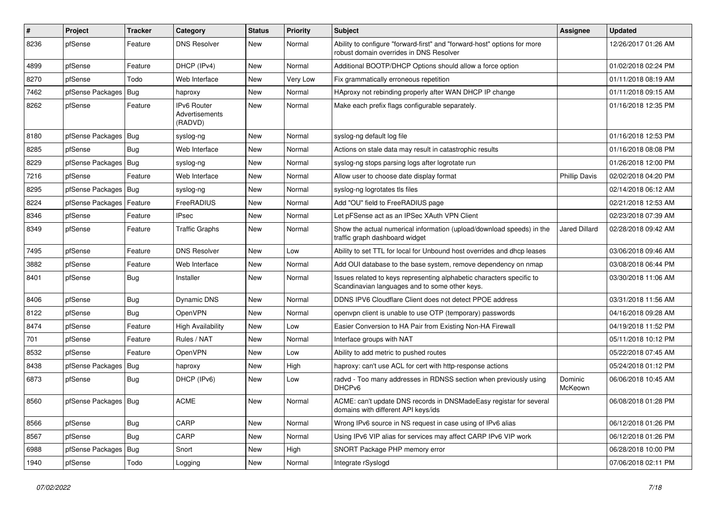| #    | Project                | Tracker    | Category                                 | <b>Status</b> | <b>Priority</b> | <b>Subject</b>                                                                                                          | Assignee             | <b>Updated</b>      |
|------|------------------------|------------|------------------------------------------|---------------|-----------------|-------------------------------------------------------------------------------------------------------------------------|----------------------|---------------------|
| 8236 | pfSense                | Feature    | <b>DNS Resolver</b>                      | <b>New</b>    | Normal          | Ability to configure "forward-first" and "forward-host" options for more<br>robust domain overrides in DNS Resolver     |                      | 12/26/2017 01:26 AM |
| 4899 | pfSense                | Feature    | DHCP (IPv4)                              | <b>New</b>    | Normal          | Additional BOOTP/DHCP Options should allow a force option                                                               |                      | 01/02/2018 02:24 PM |
| 8270 | pfSense                | Todo       | Web Interface                            | <b>New</b>    | Very Low        | Fix grammatically erroneous repetition                                                                                  |                      | 01/11/2018 08:19 AM |
| 7462 | pfSense Packages       | Bug        | haproxy                                  | <b>New</b>    | Normal          | HAproxy not rebinding properly after WAN DHCP IP change                                                                 |                      | 01/11/2018 09:15 AM |
| 8262 | pfSense                | Feature    | IPv6 Router<br>Advertisements<br>(RADVD) | <b>New</b>    | Normal          | Make each prefix flags configurable separately.                                                                         |                      | 01/16/2018 12:35 PM |
| 8180 | pfSense Packages       | Bug        | syslog-ng                                | New           | Normal          | syslog-ng default log file                                                                                              |                      | 01/16/2018 12:53 PM |
| 8285 | pfSense                | <b>Bug</b> | Web Interface                            | <b>New</b>    | Normal          | Actions on stale data may result in catastrophic results                                                                |                      | 01/16/2018 08:08 PM |
| 8229 | pfSense Packages       | Bug        | syslog-ng                                | <b>New</b>    | Normal          | syslog-ng stops parsing logs after logrotate run                                                                        |                      | 01/26/2018 12:00 PM |
| 7216 | pfSense                | Feature    | Web Interface                            | <b>New</b>    | Normal          | Allow user to choose date display format                                                                                | <b>Phillip Davis</b> | 02/02/2018 04:20 PM |
| 8295 | pfSense Packages       | Bug        | syslog-ng                                | <b>New</b>    | Normal          | syslog-ng logrotates tls files                                                                                          |                      | 02/14/2018 06:12 AM |
| 8224 | pfSense Packages       | Feature    | FreeRADIUS                               | <b>New</b>    | Normal          | Add "OU" field to FreeRADIUS page                                                                                       |                      | 02/21/2018 12:53 AM |
| 8346 | pfSense                | Feature    | <b>IPsec</b>                             | <b>New</b>    | Normal          | Let pFSense act as an IPSec XAuth VPN Client                                                                            |                      | 02/23/2018 07:39 AM |
| 8349 | pfSense                | Feature    | <b>Traffic Graphs</b>                    | <b>New</b>    | Normal          | Show the actual numerical information (upload/download speeds) in the<br>traffic graph dashboard widget                 | <b>Jared Dillard</b> | 02/28/2018 09:42 AM |
| 7495 | pfSense                | Feature    | <b>DNS Resolver</b>                      | <b>New</b>    | Low             | Ability to set TTL for local for Unbound host overrides and dhcp leases                                                 |                      | 03/06/2018 09:46 AM |
| 3882 | pfSense                | Feature    | Web Interface                            | <b>New</b>    | Normal          | Add OUI database to the base system, remove dependency on nmap                                                          |                      | 03/08/2018 06:44 PM |
| 8401 | pfSense                | <b>Bug</b> | Installer                                | <b>New</b>    | Normal          | Issues related to keys representing alphabetic characters specific to<br>Scandinavian languages and to some other keys. |                      | 03/30/2018 11:06 AM |
| 8406 | pfSense                | <b>Bug</b> | Dynamic DNS                              | <b>New</b>    | Normal          | DDNS IPV6 Cloudflare Client does not detect PPOE address                                                                |                      | 03/31/2018 11:56 AM |
| 8122 | pfSense                | Bug        | OpenVPN                                  | <b>New</b>    | Normal          | openypn client is unable to use OTP (temporary) passwords                                                               |                      | 04/16/2018 09:28 AM |
| 8474 | pfSense                | Feature    | <b>High Availability</b>                 | <b>New</b>    | Low             | Easier Conversion to HA Pair from Existing Non-HA Firewall                                                              |                      | 04/19/2018 11:52 PM |
| 701  | pfSense                | Feature    | Rules / NAT                              | <b>New</b>    | Normal          | Interface groups with NAT                                                                                               |                      | 05/11/2018 10:12 PM |
| 8532 | pfSense                | Feature    | <b>OpenVPN</b>                           | <b>New</b>    | Low             | Ability to add metric to pushed routes                                                                                  |                      | 05/22/2018 07:45 AM |
| 8438 | pfSense Packages       | Bug        | haproxy                                  | <b>New</b>    | High            | haproxy: can't use ACL for cert with http-response actions                                                              |                      | 05/24/2018 01:12 PM |
| 6873 | pfSense                | <b>Bug</b> | DHCP (IPv6)                              | <b>New</b>    | Low             | radvd - Too many addresses in RDNSS section when previously using<br>DHCPv6                                             | Dominic<br>McKeown   | 06/06/2018 10:45 AM |
| 8560 | pfSense Packages   Bug |            | <b>ACME</b>                              | New           | Normal          | ACME: can't update DNS records in DNSMadeEasy registar for several<br>domains with different API keys/ids               |                      | 06/08/2018 01:28 PM |
| 8566 | pfSense                | <b>Bug</b> | CARP                                     | New           | Normal          | Wrong IPv6 source in NS request in case using of IPv6 alias                                                             |                      | 06/12/2018 01:26 PM |
| 8567 | pfSense                | Bug        | CARP                                     | New           | Normal          | Using IPv6 VIP alias for services may affect CARP IPv6 VIP work                                                         |                      | 06/12/2018 01:26 PM |
| 6988 | pfSense Packages       | Bug        | Snort                                    | New           | High            | SNORT Package PHP memory error                                                                                          |                      | 06/28/2018 10:00 PM |
| 1940 | pfSense                | Todo       | Logging                                  | New           | Normal          | Integrate rSyslogd                                                                                                      |                      | 07/06/2018 02:11 PM |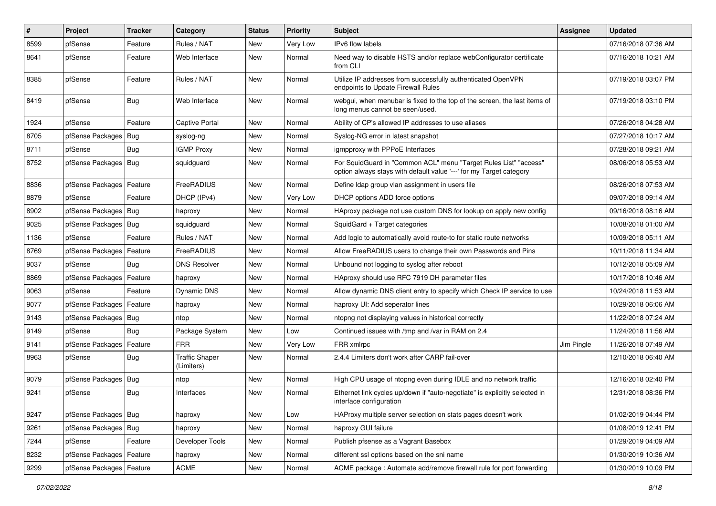| #    | Project                    | Tracker    | Category                            | <b>Status</b> | <b>Priority</b> | <b>Subject</b>                                                                                                                          | Assignee   | <b>Updated</b>      |
|------|----------------------------|------------|-------------------------------------|---------------|-----------------|-----------------------------------------------------------------------------------------------------------------------------------------|------------|---------------------|
| 8599 | pfSense                    | Feature    | Rules / NAT                         | <b>New</b>    | Very Low        | IPv6 flow labels                                                                                                                        |            | 07/16/2018 07:36 AM |
| 8641 | pfSense                    | Feature    | Web Interface                       | <b>New</b>    | Normal          | Need way to disable HSTS and/or replace webConfigurator certificate<br>from CLI                                                         |            | 07/16/2018 10:21 AM |
| 8385 | pfSense                    | Feature    | Rules / NAT                         | <b>New</b>    | Normal          | Utilize IP addresses from successfully authenticated OpenVPN<br>endpoints to Update Firewall Rules                                      |            | 07/19/2018 03:07 PM |
| 8419 | pfSense                    | Bug        | Web Interface                       | <b>New</b>    | Normal          | webgui, when menubar is fixed to the top of the screen, the last items of<br>long menus cannot be seen/used.                            |            | 07/19/2018 03:10 PM |
| 1924 | pfSense                    | Feature    | Captive Portal                      | <b>New</b>    | Normal          | Ability of CP's allowed IP addresses to use aliases                                                                                     |            | 07/26/2018 04:28 AM |
| 8705 | pfSense Packages           | Bug        | syslog-ng                           | <b>New</b>    | Normal          | Syslog-NG error in latest snapshot                                                                                                      |            | 07/27/2018 10:17 AM |
| 8711 | pfSense                    | Bug        | <b>IGMP Proxy</b>                   | <b>New</b>    | Normal          | igmpproxy with PPPoE Interfaces                                                                                                         |            | 07/28/2018 09:21 AM |
| 8752 | pfSense Packages           | Bug        | squidguard                          | <b>New</b>    | Normal          | For SquidGuard in "Common ACL" menu "Target Rules List" "access"<br>option always stays with default value '---' for my Target category |            | 08/06/2018 05:53 AM |
| 8836 | pfSense Packages           | Feature    | FreeRADIUS                          | New           | Normal          | Define Idap group vlan assignment in users file                                                                                         |            | 08/26/2018 07:53 AM |
| 8879 | pfSense                    | Feature    | DHCP (IPv4)                         | <b>New</b>    | Very Low        | DHCP options ADD force options                                                                                                          |            | 09/07/2018 09:14 AM |
| 8902 | pfSense Packages   Bug     |            | haproxy                             | <b>New</b>    | Normal          | HAproxy package not use custom DNS for lookup on apply new config                                                                       |            | 09/16/2018 08:16 AM |
| 9025 | pfSense Packages           | Bug        | squidquard                          | <b>New</b>    | Normal          | SquidGard + Target categories                                                                                                           |            | 10/08/2018 01:00 AM |
| 1136 | pfSense                    | Feature    | Rules / NAT                         | <b>New</b>    | Normal          | Add logic to automatically avoid route-to for static route networks                                                                     |            | 10/09/2018 05:11 AM |
| 8769 | pfSense Packages           | Feature    | FreeRADIUS                          | <b>New</b>    | Normal          | Allow FreeRADIUS users to change their own Passwords and Pins                                                                           |            | 10/11/2018 11:34 AM |
| 9037 | pfSense                    | Bug        | <b>DNS Resolver</b>                 | <b>New</b>    | Normal          | Unbound not logging to syslog after reboot                                                                                              |            | 10/12/2018 05:09 AM |
| 8869 | pfSense Packages           | Feature    | haproxy                             | New           | Normal          | HAproxy should use RFC 7919 DH parameter files                                                                                          |            | 10/17/2018 10:46 AM |
| 9063 | pfSense                    | Feature    | Dynamic DNS                         | <b>New</b>    | Normal          | Allow dynamic DNS client entry to specify which Check IP service to use                                                                 |            | 10/24/2018 11:53 AM |
| 9077 | pfSense Packages           | Feature    | haproxy                             | New           | Normal          | haproxy UI: Add seperator lines                                                                                                         |            | 10/29/2018 06:06 AM |
| 9143 | pfSense Packages           | Bug        | ntop                                | <b>New</b>    | Normal          | ntopng not displaying values in historical correctly                                                                                    |            | 11/22/2018 07:24 AM |
| 9149 | pfSense                    | Bug        | Package System                      | New           | Low             | Continued issues with /tmp and /var in RAM on 2.4                                                                                       |            | 11/24/2018 11:56 AM |
| 9141 | pfSense Packages   Feature |            | <b>FRR</b>                          | <b>New</b>    | Very Low        | FRR xmlrpc                                                                                                                              | Jim Pingle | 11/26/2018 07:49 AM |
| 8963 | pfSense                    | <b>Bug</b> | <b>Traffic Shaper</b><br>(Limiters) | New           | Normal          | 2.4.4 Limiters don't work after CARP fail-over                                                                                          |            | 12/10/2018 06:40 AM |
| 9079 | pfSense Packages           | Bug        | ntop                                | <b>New</b>    | Normal          | High CPU usage of ntopng even during IDLE and no network traffic                                                                        |            | 12/16/2018 02:40 PM |
| 9241 | pfSense                    | <b>Bug</b> | Interfaces                          | <b>New</b>    | Normal          | Ethernet link cycles up/down if "auto-negotiate" is explicitly selected in<br>interface configuration                                   |            | 12/31/2018 08:36 PM |
| 9247 | pfSense Packages Bug       |            | haproxy                             | <b>New</b>    | Low             | HAProxy multiple server selection on stats pages doesn't work                                                                           |            | 01/02/2019 04:44 PM |
| 9261 | pfSense Packages   Bug     |            | haproxy                             | New           | Normal          | haproxy GUI failure                                                                                                                     |            | 01/08/2019 12:41 PM |
| 7244 | pfSense                    | Feature    | Developer Tools                     | New           | Normal          | Publish pfsense as a Vagrant Basebox                                                                                                    |            | 01/29/2019 04:09 AM |
| 8232 | pfSense Packages           | Feature    | haproxy                             | New           | Normal          | different ssl options based on the sni name                                                                                             |            | 01/30/2019 10:36 AM |
| 9299 | pfSense Packages           | Feature    | ACME                                | New           | Normal          | ACME package: Automate add/remove firewall rule for port forwarding                                                                     |            | 01/30/2019 10:09 PM |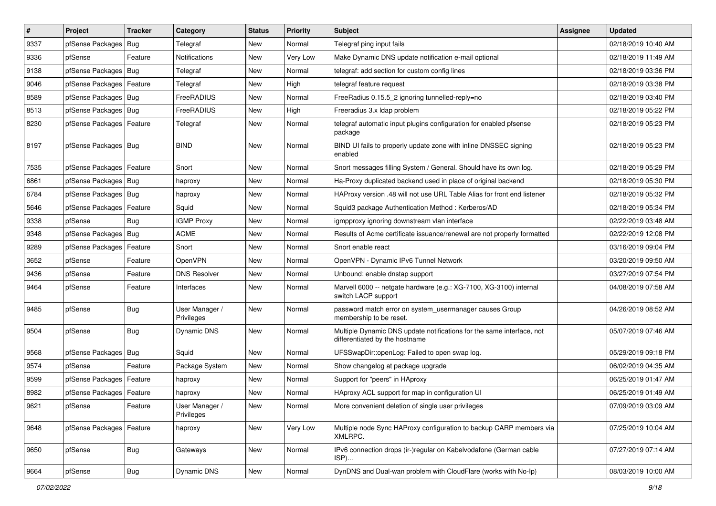| $\vert$ # | Project                    | <b>Tracker</b> | Category                     | <b>Status</b> | <b>Priority</b> | <b>Subject</b>                                                                                          | <b>Assignee</b> | <b>Updated</b>      |
|-----------|----------------------------|----------------|------------------------------|---------------|-----------------|---------------------------------------------------------------------------------------------------------|-----------------|---------------------|
| 9337      | pfSense Packages           | Bug            | Telegraf                     | New           | Normal          | Telegraf ping input fails                                                                               |                 | 02/18/2019 10:40 AM |
| 9336      | pfSense                    | Feature        | Notifications                | New           | Very Low        | Make Dynamic DNS update notification e-mail optional                                                    |                 | 02/18/2019 11:49 AM |
| 9138      | pfSense Packages           | <b>Bug</b>     | Telegraf                     | <b>New</b>    | Normal          | telegraf: add section for custom config lines                                                           |                 | 02/18/2019 03:36 PM |
| 9046      | pfSense Packages   Feature |                | Telegraf                     | <b>New</b>    | High            | telegraf feature request                                                                                |                 | 02/18/2019 03:38 PM |
| 8589      | pfSense Packages           | Bug            | FreeRADIUS                   | <b>New</b>    | Normal          | FreeRadius 0.15.5_2 ignoring tunnelled-reply=no                                                         |                 | 02/18/2019 03:40 PM |
| 8513      | pfSense Packages   Bug     |                | FreeRADIUS                   | <b>New</b>    | High            | Freeradius 3.x Idap problem                                                                             |                 | 02/18/2019 05:22 PM |
| 8230      | pfSense Packages   Feature |                | Telegraf                     | <b>New</b>    | Normal          | telegraf automatic input plugins configuration for enabled pfsense<br>package                           |                 | 02/18/2019 05:23 PM |
| 8197      | pfSense Packages   Bug     |                | <b>BIND</b>                  | <b>New</b>    | Normal          | BIND UI fails to properly update zone with inline DNSSEC signing<br>enabled                             |                 | 02/18/2019 05:23 PM |
| 7535      | pfSense Packages           | Feature        | Snort                        | <b>New</b>    | Normal          | Snort messages filling System / General. Should have its own log.                                       |                 | 02/18/2019 05:29 PM |
| 6861      | pfSense Packages   Bug     |                | haproxy                      | <b>New</b>    | Normal          | Ha-Proxy duplicated backend used in place of original backend                                           |                 | 02/18/2019 05:30 PM |
| 6784      | pfSense Packages           | Bug            | haproxy                      | New           | Normal          | HAProxy version .48 will not use URL Table Alias for front end listener                                 |                 | 02/18/2019 05:32 PM |
| 5646      | pfSense Packages           | Feature        | Squid                        | <b>New</b>    | Normal          | Squid3 package Authentication Method: Kerberos/AD                                                       |                 | 02/18/2019 05:34 PM |
| 9338      | pfSense                    | Bug            | <b>IGMP Proxy</b>            | <b>New</b>    | Normal          | igmpproxy ignoring downstream vlan interface                                                            |                 | 02/22/2019 03:48 AM |
| 9348      | pfSense Packages           | Bug            | ACME                         | <b>New</b>    | Normal          | Results of Acme certificate issuance/renewal are not properly formatted                                 |                 | 02/22/2019 12:08 PM |
| 9289      | pfSense Packages           | Feature        | Snort                        | <b>New</b>    | Normal          | Snort enable react                                                                                      |                 | 03/16/2019 09:04 PM |
| 3652      | pfSense                    | Feature        | OpenVPN                      | <b>New</b>    | Normal          | OpenVPN - Dynamic IPv6 Tunnel Network                                                                   |                 | 03/20/2019 09:50 AM |
| 9436      | pfSense                    | Feature        | <b>DNS Resolver</b>          | <b>New</b>    | Normal          | Unbound: enable dnstap support                                                                          |                 | 03/27/2019 07:54 PM |
| 9464      | pfSense                    | Feature        | Interfaces                   | <b>New</b>    | Normal          | Marvell 6000 -- netgate hardware (e.g.: XG-7100, XG-3100) internal<br>switch LACP support               |                 | 04/08/2019 07:58 AM |
| 9485      | pfSense                    | Bug            | User Manager /<br>Privileges | <b>New</b>    | Normal          | password match error on system usermanager causes Group<br>membership to be reset.                      |                 | 04/26/2019 08:52 AM |
| 9504      | pfSense                    | <b>Bug</b>     | Dynamic DNS                  | New           | Normal          | Multiple Dynamic DNS update notifications for the same interface, not<br>differentiated by the hostname |                 | 05/07/2019 07:46 AM |
| 9568      | pfSense Packages           | Bug            | Squid                        | <b>New</b>    | Normal          | UFSSwapDir::openLog: Failed to open swap log.                                                           |                 | 05/29/2019 09:18 PM |
| 9574      | pfSense                    | Feature        | Package System               | New           | Normal          | Show changelog at package upgrade                                                                       |                 | 06/02/2019 04:35 AM |
| 9599      | pfSense Packages           | Feature        | haproxy                      | <b>New</b>    | Normal          | Support for "peers" in HAproxy                                                                          |                 | 06/25/2019 01:47 AM |
| 8982      | pfSense Packages           | Feature        | haproxy                      | New           | Normal          | HAproxy ACL support for map in configuration UI                                                         |                 | 06/25/2019 01:49 AM |
| 9621      | pfSense                    | Feature        | User Manager /<br>Privileges | New           | Normal          | More convenient deletion of single user privileges                                                      |                 | 07/09/2019 03:09 AM |
| 9648      | pfSense Packages   Feature |                | haproxy                      | New           | Very Low        | Multiple node Sync HAProxy configuration to backup CARP members via<br>XMLRPC.                          |                 | 07/25/2019 10:04 AM |
| 9650      | pfSense                    | <b>Bug</b>     | Gateways                     | New           | Normal          | IPv6 connection drops (ir-)regular on Kabelvodafone (German cable<br>ISP)                               |                 | 07/27/2019 07:14 AM |
| 9664      | pfSense                    | Bug            | Dynamic DNS                  | New           | Normal          | DynDNS and Dual-wan problem with CloudFlare (works with No-Ip)                                          |                 | 08/03/2019 10:00 AM |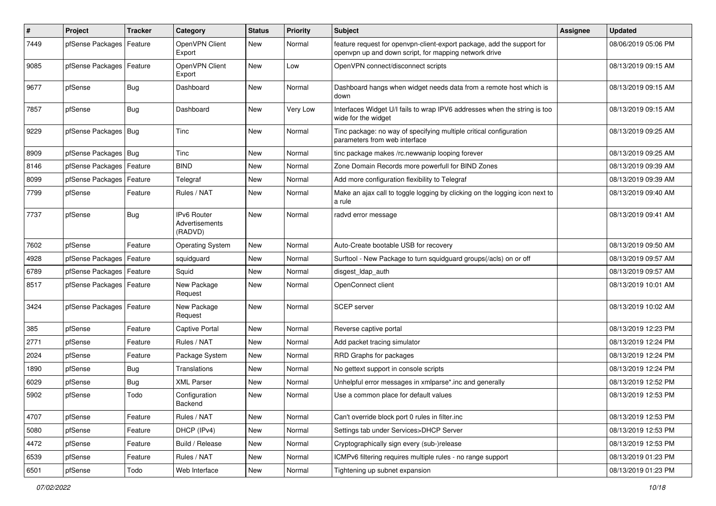| $\pmb{\#}$ | Project                    | <b>Tracker</b> | Category                                        | <b>Status</b> | <b>Priority</b> | <b>Subject</b>                                                                                                                  | <b>Assignee</b> | <b>Updated</b>      |
|------------|----------------------------|----------------|-------------------------------------------------|---------------|-----------------|---------------------------------------------------------------------------------------------------------------------------------|-----------------|---------------------|
| 7449       | pfSense Packages           | Feature        | OpenVPN Client<br>Export                        | New           | Normal          | feature request for openvpn-client-export package, add the support for<br>openvpn up and down script, for mapping network drive |                 | 08/06/2019 05:06 PM |
| 9085       | pfSense Packages           | Feature        | OpenVPN Client<br>Export                        | <b>New</b>    | Low             | OpenVPN connect/disconnect scripts                                                                                              |                 | 08/13/2019 09:15 AM |
| 9677       | pfSense                    | <b>Bug</b>     | Dashboard                                       | <b>New</b>    | Normal          | Dashboard hangs when widget needs data from a remote host which is<br>down                                                      |                 | 08/13/2019 09:15 AM |
| 7857       | pfSense                    | Bug            | Dashboard                                       | New           | Very Low        | Interfaces Widget U/I fails to wrap IPV6 addresses when the string is too<br>wide for the widget                                |                 | 08/13/2019 09:15 AM |
| 9229       | pfSense Packages   Bug     |                | Tinc                                            | <b>New</b>    | Normal          | Tinc package: no way of specifying multiple critical configuration<br>parameters from web interface                             |                 | 08/13/2019 09:25 AM |
| 8909       | pfSense Packages   Bug     |                | Tinc                                            | New           | Normal          | tinc package makes /rc.newwanip looping forever                                                                                 |                 | 08/13/2019 09:25 AM |
| 8146       | pfSense Packages           | Feature        | <b>BIND</b>                                     | New           | Normal          | Zone Domain Records more powerfull for BIND Zones                                                                               |                 | 08/13/2019 09:39 AM |
| 8099       | pfSense Packages           | Feature        | Telegraf                                        | <b>New</b>    | Normal          | Add more configuration flexibility to Telegraf                                                                                  |                 | 08/13/2019 09:39 AM |
| 7799       | pfSense                    | Feature        | Rules / NAT                                     | New           | Normal          | Make an ajax call to toggle logging by clicking on the logging icon next to<br>a rule                                           |                 | 08/13/2019 09:40 AM |
| 7737       | pfSense                    | <b>Bug</b>     | <b>IPv6 Router</b><br>Advertisements<br>(RADVD) | New           | Normal          | radvd error message                                                                                                             |                 | 08/13/2019 09:41 AM |
| 7602       | pfSense                    | Feature        | <b>Operating System</b>                         | <b>New</b>    | Normal          | Auto-Create bootable USB for recovery                                                                                           |                 | 08/13/2019 09:50 AM |
| 4928       | pfSense Packages           | Feature        | squidguard                                      | New           | Normal          | Surftool - New Package to turn squidguard groups(/acls) on or off                                                               |                 | 08/13/2019 09:57 AM |
| 6789       | pfSense Packages           | Feature        | Squid                                           | <b>New</b>    | Normal          | disgest_ldap_auth                                                                                                               |                 | 08/13/2019 09:57 AM |
| 8517       | pfSense Packages   Feature |                | New Package<br>Request                          | New           | Normal          | OpenConnect client                                                                                                              |                 | 08/13/2019 10:01 AM |
| 3424       | pfSense Packages   Feature |                | New Package<br>Request                          | New           | Normal          | <b>SCEP</b> server                                                                                                              |                 | 08/13/2019 10:02 AM |
| 385        | pfSense                    | Feature        | Captive Portal                                  | <b>New</b>    | Normal          | Reverse captive portal                                                                                                          |                 | 08/13/2019 12:23 PM |
| 2771       | pfSense                    | Feature        | Rules / NAT                                     | New           | Normal          | Add packet tracing simulator                                                                                                    |                 | 08/13/2019 12:24 PM |
| 2024       | pfSense                    | Feature        | Package System                                  | New           | Normal          | RRD Graphs for packages                                                                                                         |                 | 08/13/2019 12:24 PM |
| 1890       | pfSense                    | <b>Bug</b>     | Translations                                    | <b>New</b>    | Normal          | No gettext support in console scripts                                                                                           |                 | 08/13/2019 12:24 PM |
| 6029       | pfSense                    | <b>Bug</b>     | XML Parser                                      | New           | Normal          | Unhelpful error messages in xmlparse*.inc and generally                                                                         |                 | 08/13/2019 12:52 PM |
| 5902       | pfSense                    | Todo           | Configuration<br>Backend                        | New           | Normal          | Use a common place for default values                                                                                           |                 | 08/13/2019 12:53 PM |
| 4707       | pfSense                    | Feature        | Rules / NAT                                     | New           | Normal          | Can't override block port 0 rules in filter.inc                                                                                 |                 | 08/13/2019 12:53 PM |
| 5080       | pfSense                    | Feature        | DHCP (IPv4)                                     | New           | Normal          | Settings tab under Services>DHCP Server                                                                                         |                 | 08/13/2019 12:53 PM |
| 4472       | pfSense                    | Feature        | Build / Release                                 | New           | Normal          | Cryptographically sign every (sub-)release                                                                                      |                 | 08/13/2019 12:53 PM |
| 6539       | pfSense                    | Feature        | Rules / NAT                                     | New           | Normal          | ICMPv6 filtering requires multiple rules - no range support                                                                     |                 | 08/13/2019 01:23 PM |
| 6501       | pfSense                    | Todo           | Web Interface                                   | New           | Normal          | Tightening up subnet expansion                                                                                                  |                 | 08/13/2019 01:23 PM |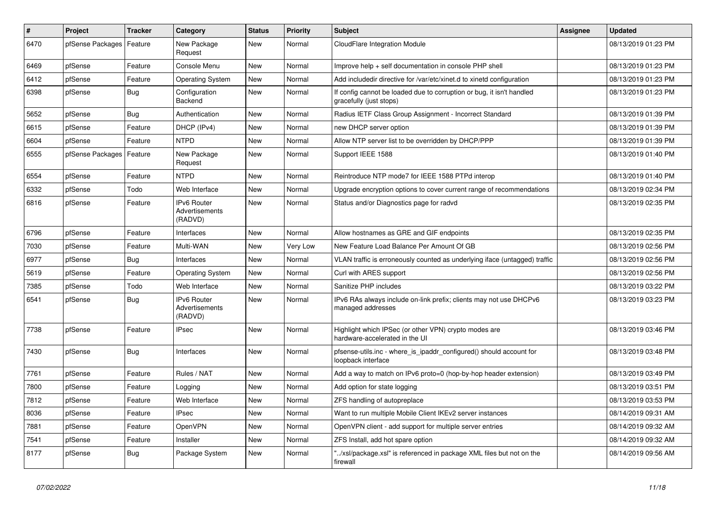| $\vert$ # | Project          | <b>Tracker</b> | Category                                        | <b>Status</b> | <b>Priority</b> | <b>Subject</b>                                                                                   | <b>Assignee</b> | <b>Updated</b>      |
|-----------|------------------|----------------|-------------------------------------------------|---------------|-----------------|--------------------------------------------------------------------------------------------------|-----------------|---------------------|
| 6470      | pfSense Packages | Feature        | New Package<br>Request                          | <b>New</b>    | Normal          | CloudFlare Integration Module                                                                    |                 | 08/13/2019 01:23 PM |
| 6469      | pfSense          | Feature        | Console Menu                                    | <b>New</b>    | Normal          | Improve help + self documentation in console PHP shell                                           |                 | 08/13/2019 01:23 PM |
| 6412      | pfSense          | Feature        | <b>Operating System</b>                         | <b>New</b>    | Normal          | Add includedir directive for /var/etc/xinet.d to xinetd configuration                            |                 | 08/13/2019 01:23 PM |
| 6398      | pfSense          | <b>Bug</b>     | Configuration<br>Backend                        | <b>New</b>    | Normal          | If config cannot be loaded due to corruption or bug, it isn't handled<br>gracefully (just stops) |                 | 08/13/2019 01:23 PM |
| 5652      | pfSense          | Bug            | Authentication                                  | <b>New</b>    | Normal          | Radius IETF Class Group Assignment - Incorrect Standard                                          |                 | 08/13/2019 01:39 PM |
| 6615      | pfSense          | Feature        | DHCP (IPv4)                                     | <b>New</b>    | Normal          | new DHCP server option                                                                           |                 | 08/13/2019 01:39 PM |
| 6604      | pfSense          | Feature        | <b>NTPD</b>                                     | <b>New</b>    | Normal          | Allow NTP server list to be overridden by DHCP/PPP                                               |                 | 08/13/2019 01:39 PM |
| 6555      | pfSense Packages | Feature        | New Package<br>Request                          | <b>New</b>    | Normal          | Support IEEE 1588                                                                                |                 | 08/13/2019 01:40 PM |
| 6554      | pfSense          | Feature        | <b>NTPD</b>                                     | <b>New</b>    | Normal          | Reintroduce NTP mode7 for IEEE 1588 PTPd interop                                                 |                 | 08/13/2019 01:40 PM |
| 6332      | pfSense          | Todo           | Web Interface                                   | <b>New</b>    | Normal          | Upgrade encryption options to cover current range of recommendations                             |                 | 08/13/2019 02:34 PM |
| 6816      | pfSense          | Feature        | IPv6 Router<br>Advertisements<br>(RADVD)        | New           | Normal          | Status and/or Diagnostics page for radvd                                                         |                 | 08/13/2019 02:35 PM |
| 6796      | pfSense          | Feature        | Interfaces                                      | <b>New</b>    | Normal          | Allow hostnames as GRE and GIF endpoints                                                         |                 | 08/13/2019 02:35 PM |
| 7030      | pfSense          | Feature        | Multi-WAN                                       | <b>New</b>    | Very Low        | New Feature Load Balance Per Amount Of GB                                                        |                 | 08/13/2019 02:56 PM |
| 6977      | pfSense          | Bug            | Interfaces                                      | <b>New</b>    | Normal          | VLAN traffic is erroneously counted as underlying iface (untagged) traffic                       |                 | 08/13/2019 02:56 PM |
| 5619      | pfSense          | Feature        | <b>Operating System</b>                         | New           | Normal          | Curl with ARES support                                                                           |                 | 08/13/2019 02:56 PM |
| 7385      | pfSense          | Todo           | Web Interface                                   | New           | Normal          | Sanitize PHP includes                                                                            |                 | 08/13/2019 03:22 PM |
| 6541      | pfSense          | <b>Bug</b>     | <b>IPv6 Router</b><br>Advertisements<br>(RADVD) | <b>New</b>    | Normal          | IPv6 RAs always include on-link prefix; clients may not use DHCPv6<br>managed addresses          |                 | 08/13/2019 03:23 PM |
| 7738      | pfSense          | Feature        | <b>IPsec</b>                                    | <b>New</b>    | Normal          | Highlight which IPSec (or other VPN) crypto modes are<br>hardware-accelerated in the UI          |                 | 08/13/2019 03:46 PM |
| 7430      | pfSense          | <b>Bug</b>     | Interfaces                                      | <b>New</b>    | Normal          | pfsense-utils.inc - where is ipaddr configured() should account for<br>loopback interface        |                 | 08/13/2019 03:48 PM |
| 7761      | pfSense          | Feature        | Rules / NAT                                     | <b>New</b>    | Normal          | Add a way to match on IPv6 proto=0 (hop-by-hop header extension)                                 |                 | 08/13/2019 03:49 PM |
| 7800      | pfSense          | Feature        | Logging                                         | New           | Normal          | Add option for state logging                                                                     |                 | 08/13/2019 03:51 PM |
| 7812      | pfSense          | Feature        | Web Interface                                   | <b>New</b>    | Normal          | ZFS handling of autopreplace                                                                     |                 | 08/13/2019 03:53 PM |
| 8036      | pfSense          | Feature        | <b>IPsec</b>                                    | <b>New</b>    | Normal          | Want to run multiple Mobile Client IKEv2 server instances                                        |                 | 08/14/2019 09:31 AM |
| 7881      | pfSense          | Feature        | <b>OpenVPN</b>                                  | <b>New</b>    | Normal          | OpenVPN client - add support for multiple server entries                                         |                 | 08/14/2019 09:32 AM |
| 7541      | pfSense          | Feature        | Installer                                       | <b>New</b>    | Normal          | ZFS Install, add hot spare option                                                                |                 | 08/14/2019 09:32 AM |
| 8177      | pfSense          | <b>Bug</b>     | Package System                                  | New           | Normal          | '/xsl/package.xsl" is referenced in package XML files but not on the<br>firewall                 |                 | 08/14/2019 09:56 AM |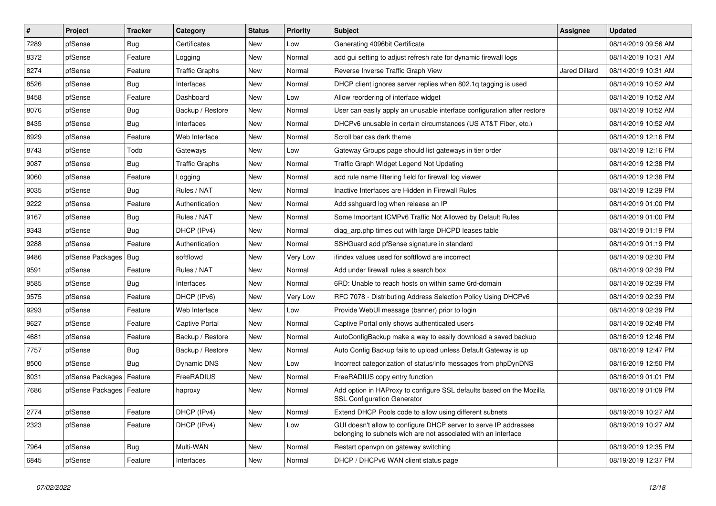| $\sharp$ | Project                    | <b>Tracker</b> | Category              | <b>Status</b> | Priority | <b>Subject</b>                                                                                                                     | Assignee             | <b>Updated</b>      |
|----------|----------------------------|----------------|-----------------------|---------------|----------|------------------------------------------------------------------------------------------------------------------------------------|----------------------|---------------------|
| 7289     | pfSense                    | Bug            | Certificates          | <b>New</b>    | Low      | Generating 4096bit Certificate                                                                                                     |                      | 08/14/2019 09:56 AM |
| 8372     | pfSense                    | Feature        | Logging               | <b>New</b>    | Normal   | add gui setting to adjust refresh rate for dynamic firewall logs                                                                   |                      | 08/14/2019 10:31 AM |
| 8274     | pfSense                    | Feature        | Traffic Graphs        | New           | Normal   | Reverse Inverse Traffic Graph View                                                                                                 | <b>Jared Dillard</b> | 08/14/2019 10:31 AM |
| 8526     | pfSense                    | <b>Bug</b>     | Interfaces            | <b>New</b>    | Normal   | DHCP client ignores server replies when 802.1q tagging is used                                                                     |                      | 08/14/2019 10:52 AM |
| 8458     | pfSense                    | Feature        | Dashboard             | <b>New</b>    | Low      | Allow reordering of interface widget                                                                                               |                      | 08/14/2019 10:52 AM |
| 8076     | pfSense                    | <b>Bug</b>     | Backup / Restore      | <b>New</b>    | Normal   | User can easily apply an unusable interface configuration after restore                                                            |                      | 08/14/2019 10:52 AM |
| 8435     | pfSense                    | <b>Bug</b>     | Interfaces            | <b>New</b>    | Normal   | DHCPv6 unusable in certain circumstances (US AT&T Fiber, etc.)                                                                     |                      | 08/14/2019 10:52 AM |
| 8929     | pfSense                    | Feature        | Web Interface         | New           | Normal   | Scroll bar css dark theme                                                                                                          |                      | 08/14/2019 12:16 PM |
| 8743     | pfSense                    | Todo           | Gateways              | New           | Low      | Gateway Groups page should list gateways in tier order                                                                             |                      | 08/14/2019 12:16 PM |
| 9087     | pfSense                    | Bug            | <b>Traffic Graphs</b> | New           | Normal   | Traffic Graph Widget Legend Not Updating                                                                                           |                      | 08/14/2019 12:38 PM |
| 9060     | pfSense                    | Feature        | Logging               | New           | Normal   | add rule name filtering field for firewall log viewer                                                                              |                      | 08/14/2019 12:38 PM |
| 9035     | pfSense                    | Bug            | Rules / NAT           | New           | Normal   | Inactive Interfaces are Hidden in Firewall Rules                                                                                   |                      | 08/14/2019 12:39 PM |
| 9222     | pfSense                    | Feature        | Authentication        | <b>New</b>    | Normal   | Add sshguard log when release an IP                                                                                                |                      | 08/14/2019 01:00 PM |
| 9167     | pfSense                    | <b>Bug</b>     | Rules / NAT           | <b>New</b>    | Normal   | Some Important ICMPv6 Traffic Not Allowed by Default Rules                                                                         |                      | 08/14/2019 01:00 PM |
| 9343     | pfSense                    | Bug            | DHCP (IPv4)           | <b>New</b>    | Normal   | diag_arp.php times out with large DHCPD leases table                                                                               |                      | 08/14/2019 01:19 PM |
| 9288     | pfSense                    | Feature        | Authentication        | <b>New</b>    | Normal   | SSHGuard add pfSense signature in standard                                                                                         |                      | 08/14/2019 01:19 PM |
| 9486     | pfSense Packages           | Bug            | softflowd             | <b>New</b>    | Very Low | ifindex values used for softflowd are incorrect                                                                                    |                      | 08/14/2019 02:30 PM |
| 9591     | pfSense                    | Feature        | Rules / NAT           | <b>New</b>    | Normal   | Add under firewall rules a search box                                                                                              |                      | 08/14/2019 02:39 PM |
| 9585     | pfSense                    | Bug            | Interfaces            | <b>New</b>    | Normal   | 6RD: Unable to reach hosts on within same 6rd-domain                                                                               |                      | 08/14/2019 02:39 PM |
| 9575     | pfSense                    | Feature        | DHCP (IPv6)           | New           | Very Low | RFC 7078 - Distributing Address Selection Policy Using DHCPv6                                                                      |                      | 08/14/2019 02:39 PM |
| 9293     | pfSense                    | Feature        | Web Interface         | <b>New</b>    | Low      | Provide WebUI message (banner) prior to login                                                                                      |                      | 08/14/2019 02:39 PM |
| 9627     | pfSense                    | Feature        | <b>Captive Portal</b> | <b>New</b>    | Normal   | Captive Portal only shows authenticated users                                                                                      |                      | 08/14/2019 02:48 PM |
| 4681     | pfSense                    | Feature        | Backup / Restore      | <b>New</b>    | Normal   | AutoConfigBackup make a way to easily download a saved backup                                                                      |                      | 08/16/2019 12:46 PM |
| 7757     | pfSense                    | Bug            | Backup / Restore      | New           | Normal   | Auto Config Backup fails to upload unless Default Gateway is up                                                                    |                      | 08/16/2019 12:47 PM |
| 8500     | pfSense                    | <b>Bug</b>     | Dynamic DNS           | <b>New</b>    | Low      | Incorrect categorization of status/info messages from phpDynDNS                                                                    |                      | 08/16/2019 12:50 PM |
| 8031     | pfSense Packages           | Feature        | FreeRADIUS            | <b>New</b>    | Normal   | FreeRADIUS copy entry function                                                                                                     |                      | 08/16/2019 01:01 PM |
| 7686     | pfSense Packages   Feature |                | haproxy               | <b>New</b>    | Normal   | Add option in HAProxy to configure SSL defaults based on the Mozilla<br><b>SSL Configuration Generator</b>                         |                      | 08/16/2019 01:09 PM |
| 2774     | pfSense                    | Feature        | DHCP (IPv4)           | <b>New</b>    | Normal   | Extend DHCP Pools code to allow using different subnets                                                                            |                      | 08/19/2019 10:27 AM |
| 2323     | pfSense                    | Feature        | DHCP (IPv4)           | <b>New</b>    | Low      | GUI doesn't allow to configure DHCP server to serve IP addresses<br>belonging to subnets wich are not associated with an interface |                      | 08/19/2019 10:27 AM |
| 7964     | pfSense                    | <b>Bug</b>     | Multi-WAN             | <b>New</b>    | Normal   | Restart openvpn on gateway switching                                                                                               |                      | 08/19/2019 12:35 PM |
| 6845     | pfSense                    | Feature        | Interfaces            | <b>New</b>    | Normal   | DHCP / DHCPv6 WAN client status page                                                                                               |                      | 08/19/2019 12:37 PM |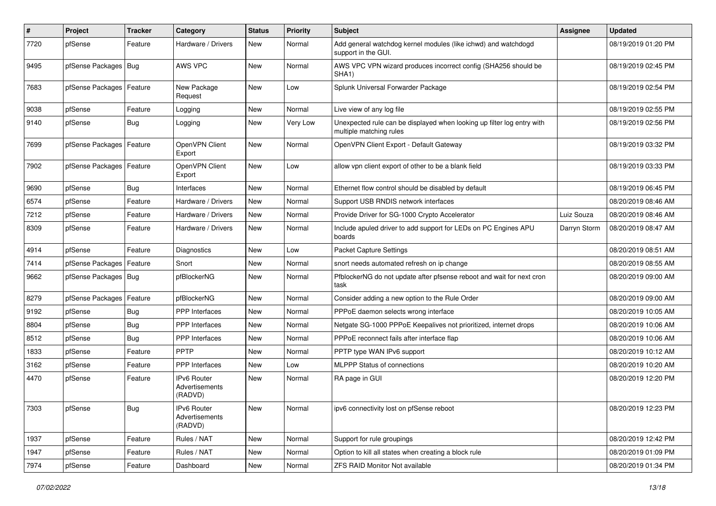| ∦    | Project                    | <b>Tracker</b> | Category                                 | <b>Status</b> | <b>Priority</b> | <b>Subject</b>                                                                                    | Assignee     | <b>Updated</b>      |
|------|----------------------------|----------------|------------------------------------------|---------------|-----------------|---------------------------------------------------------------------------------------------------|--------------|---------------------|
| 7720 | pfSense                    | Feature        | Hardware / Drivers                       | New           | Normal          | Add general watchdog kernel modules (like ichwd) and watchdogd<br>support in the GUI.             |              | 08/19/2019 01:20 PM |
| 9495 | pfSense Packages           | <b>Bug</b>     | AWS VPC                                  | <b>New</b>    | Normal          | AWS VPC VPN wizard produces incorrect config (SHA256 should be<br>SHA <sub>1</sub> )              |              | 08/19/2019 02:45 PM |
| 7683 | pfSense Packages   Feature |                | New Package<br>Request                   | <b>New</b>    | Low             | Splunk Universal Forwarder Package                                                                |              | 08/19/2019 02:54 PM |
| 9038 | pfSense                    | Feature        | Logging                                  | <b>New</b>    | Normal          | Live view of any log file                                                                         |              | 08/19/2019 02:55 PM |
| 9140 | pfSense                    | Bug            | Logging                                  | <b>New</b>    | Very Low        | Unexpected rule can be displayed when looking up filter log entry with<br>multiple matching rules |              | 08/19/2019 02:56 PM |
| 7699 | pfSense Packages           | Feature        | OpenVPN Client<br>Export                 | <b>New</b>    | Normal          | OpenVPN Client Export - Default Gateway                                                           |              | 08/19/2019 03:32 PM |
| 7902 | pfSense Packages   Feature |                | OpenVPN Client<br>Export                 | <b>New</b>    | Low             | allow vpn client export of other to be a blank field                                              |              | 08/19/2019 03:33 PM |
| 9690 | pfSense                    | Bug            | Interfaces                               | <b>New</b>    | Normal          | Ethernet flow control should be disabled by default                                               |              | 08/19/2019 06:45 PM |
| 6574 | pfSense                    | Feature        | Hardware / Drivers                       | <b>New</b>    | Normal          | Support USB RNDIS network interfaces                                                              |              | 08/20/2019 08:46 AM |
| 7212 | pfSense                    | Feature        | Hardware / Drivers                       | New           | Normal          | Provide Driver for SG-1000 Crypto Accelerator                                                     | Luiz Souza   | 08/20/2019 08:46 AM |
| 8309 | pfSense                    | Feature        | Hardware / Drivers                       | <b>New</b>    | Normal          | Include apuled driver to add support for LEDs on PC Engines APU<br>boards                         | Darryn Storm | 08/20/2019 08:47 AM |
| 4914 | pfSense                    | Feature        | Diagnostics                              | New           | Low             | <b>Packet Capture Settings</b>                                                                    |              | 08/20/2019 08:51 AM |
| 7414 | pfSense Packages           | Feature        | Snort                                    | <b>New</b>    | Normal          | snort needs automated refresh on ip change                                                        |              | 08/20/2019 08:55 AM |
| 9662 | pfSense Packages   Bug     |                | pfBlockerNG                              | <b>New</b>    | Normal          | PfblockerNG do not update after pfsense reboot and wait for next cron<br>task                     |              | 08/20/2019 09:00 AM |
| 8279 | pfSense Packages           | Feature        | pfBlockerNG                              | <b>New</b>    | Normal          | Consider adding a new option to the Rule Order                                                    |              | 08/20/2019 09:00 AM |
| 9192 | pfSense                    | Bug            | PPP Interfaces                           | <b>New</b>    | Normal          | PPPoE daemon selects wrong interface                                                              |              | 08/20/2019 10:05 AM |
| 8804 | pfSense                    | Bug            | <b>PPP</b> Interfaces                    | New           | Normal          | Netgate SG-1000 PPPoE Keepalives not prioritized, internet drops                                  |              | 08/20/2019 10:06 AM |
| 8512 | pfSense                    | Bug            | PPP Interfaces                           | New           | Normal          | PPPoE reconnect fails after interface flap                                                        |              | 08/20/2019 10:06 AM |
| 1833 | pfSense                    | Feature        | PPTP                                     | New           | Normal          | PPTP type WAN IPv6 support                                                                        |              | 08/20/2019 10:12 AM |
| 3162 | pfSense                    | Feature        | <b>PPP</b> Interfaces                    | <b>New</b>    | Low             | <b>MLPPP Status of connections</b>                                                                |              | 08/20/2019 10:20 AM |
| 4470 | pfSense                    | Feature        | IPv6 Router<br>Advertisements<br>(RADVD) | <b>New</b>    | Normal          | RA page in GUI                                                                                    |              | 08/20/2019 12:20 PM |
| 7303 | pfSense                    | <b>Bug</b>     | IPv6 Router<br>Advertisements<br>(RADVD) | New           | Normal          | ipv6 connectivity lost on pfSense reboot                                                          |              | 08/20/2019 12:23 PM |
| 1937 | pfSense                    | Feature        | Rules / NAT                              | New           | Normal          | Support for rule groupings                                                                        |              | 08/20/2019 12:42 PM |
| 1947 | pfSense                    | Feature        | Rules / NAT                              | New           | Normal          | Option to kill all states when creating a block rule                                              |              | 08/20/2019 01:09 PM |
| 7974 | pfSense                    | Feature        | Dashboard                                | New           | Normal          | <b>ZFS RAID Monitor Not available</b>                                                             |              | 08/20/2019 01:34 PM |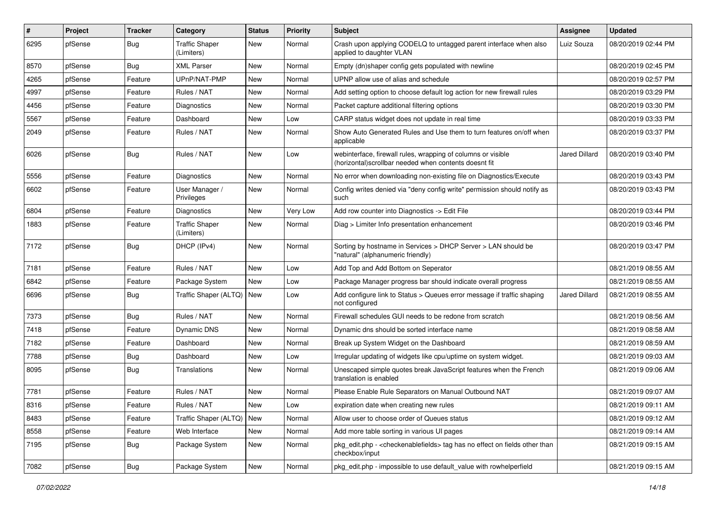| #    | Project | <b>Tracker</b> | Category                            | <b>Status</b> | <b>Priority</b> | <b>Subject</b>                                                                                                         | Assignee      | <b>Updated</b>      |
|------|---------|----------------|-------------------------------------|---------------|-----------------|------------------------------------------------------------------------------------------------------------------------|---------------|---------------------|
| 6295 | pfSense | Bug            | <b>Traffic Shaper</b><br>(Limiters) | <b>New</b>    | Normal          | Crash upon applying CODELQ to untagged parent interface when also<br>applied to daughter VLAN                          | Luiz Souza    | 08/20/2019 02:44 PM |
| 8570 | pfSense | Bug            | <b>XML Parser</b>                   | <b>New</b>    | Normal          | Empty (dn)shaper config gets populated with newline                                                                    |               | 08/20/2019 02:45 PM |
| 4265 | pfSense | Feature        | UPnP/NAT-PMP                        | <b>New</b>    | Normal          | UPNP allow use of alias and schedule                                                                                   |               | 08/20/2019 02:57 PM |
| 4997 | pfSense | Feature        | Rules / NAT                         | New           | Normal          | Add setting option to choose default log action for new firewall rules                                                 |               | 08/20/2019 03:29 PM |
| 4456 | pfSense | Feature        | Diagnostics                         | <b>New</b>    | Normal          | Packet capture additional filtering options                                                                            |               | 08/20/2019 03:30 PM |
| 5567 | pfSense | Feature        | Dashboard                           | <b>New</b>    | Low             | CARP status widget does not update in real time                                                                        |               | 08/20/2019 03:33 PM |
| 2049 | pfSense | Feature        | Rules / NAT                         | New           | Normal          | Show Auto Generated Rules and Use them to turn features on/off when<br>applicable                                      |               | 08/20/2019 03:37 PM |
| 6026 | pfSense | Bug            | Rules / NAT                         | New           | Low             | webinterface, firewall rules, wrapping of columns or visible<br>(horizontal) scrollbar needed when contents doesnt fit | Jared Dillard | 08/20/2019 03:40 PM |
| 5556 | pfSense | Feature        | Diagnostics                         | <b>New</b>    | Normal          | No error when downloading non-existing file on Diagnostics/Execute                                                     |               | 08/20/2019 03:43 PM |
| 6602 | pfSense | Feature        | User Manager /<br>Privileges        | <b>New</b>    | Normal          | Config writes denied via "deny config write" permission should notify as<br>such                                       |               | 08/20/2019 03:43 PM |
| 6804 | pfSense | Feature        | Diagnostics                         | New           | Very Low        | Add row counter into Diagnostics -> Edit File                                                                          |               | 08/20/2019 03:44 PM |
| 1883 | pfSense | Feature        | <b>Traffic Shaper</b><br>(Limiters) | New           | Normal          | Diag > Limiter Info presentation enhancement                                                                           |               | 08/20/2019 03:46 PM |
| 7172 | pfSense | Bug            | DHCP (IPv4)                         | New           | Normal          | Sorting by hostname in Services > DHCP Server > LAN should be<br>"natural" (alphanumeric friendly)                     |               | 08/20/2019 03:47 PM |
| 7181 | pfSense | Feature        | Rules / NAT                         | <b>New</b>    | Low             | Add Top and Add Bottom on Seperator                                                                                    |               | 08/21/2019 08:55 AM |
| 6842 | pfSense | Feature        | Package System                      | <b>New</b>    | Low             | Package Manager progress bar should indicate overall progress                                                          |               | 08/21/2019 08:55 AM |
| 6696 | pfSense | <b>Bug</b>     | Traffic Shaper (ALTQ)               | <b>New</b>    | Low             | Add configure link to Status > Queues error message if traffic shaping<br>not configured                               | Jared Dillard | 08/21/2019 08:55 AM |
| 7373 | pfSense | <b>Bug</b>     | Rules / NAT                         | <b>New</b>    | Normal          | Firewall schedules GUI needs to be redone from scratch                                                                 |               | 08/21/2019 08:56 AM |
| 7418 | pfSense | Feature        | Dynamic DNS                         | <b>New</b>    | Normal          | Dynamic dns should be sorted interface name                                                                            |               | 08/21/2019 08:58 AM |
| 7182 | pfSense | Feature        | Dashboard                           | New           | Normal          | Break up System Widget on the Dashboard                                                                                |               | 08/21/2019 08:59 AM |
| 7788 | pfSense | <b>Bug</b>     | Dashboard                           | <b>New</b>    | Low             | Irregular updating of widgets like cpu/uptime on system widget.                                                        |               | 08/21/2019 09:03 AM |
| 8095 | pfSense | <b>Bug</b>     | Translations                        | New           | Normal          | Unescaped simple quotes break JavaScript features when the French<br>translation is enabled                            |               | 08/21/2019 09:06 AM |
| 7781 | pfSense | Feature        | Rules / NAT                         | <b>New</b>    | Normal          | Please Enable Rule Separators on Manual Outbound NAT                                                                   |               | 08/21/2019 09:07 AM |
| 8316 | pfSense | Feature        | Rules / NAT                         | New           | LOW             | expiration date when creating new rules                                                                                |               | 08/21/2019 09:11 AM |
| 8483 | pfSense | Feature        | Traffic Shaper (ALTQ)               | New           | Normal          | Allow user to choose order of Queues status                                                                            |               | 08/21/2019 09:12 AM |
| 8558 | pfSense | Feature        | Web Interface                       | New           | Normal          | Add more table sorting in various UI pages                                                                             |               | 08/21/2019 09:14 AM |
| 7195 | pfSense | <b>Bug</b>     | Package System                      | New           | Normal          | pkg edit.php - < checkenable fields > tag has no effect on fields other than<br>checkbox/input                         |               | 08/21/2019 09:15 AM |
| 7082 | pfSense | Bug            | Package System                      | New           | Normal          | pkg edit.php - impossible to use default value with rowhelperfield                                                     |               | 08/21/2019 09:15 AM |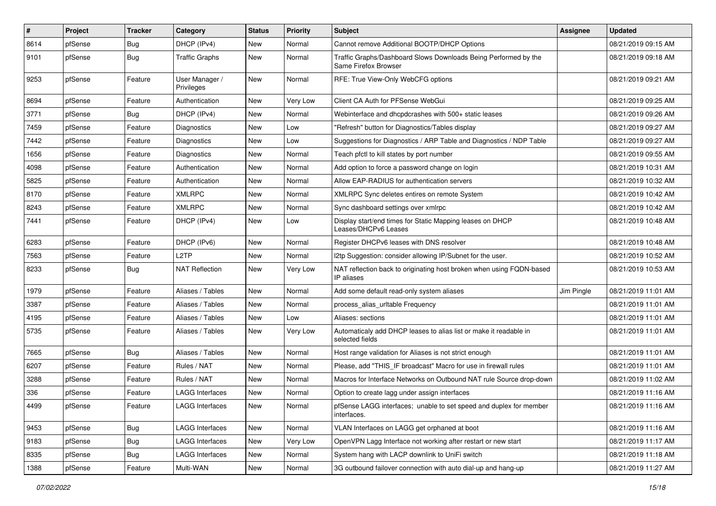| $\sharp$ | Project | <b>Tracker</b> | Category                     | <b>Status</b> | <b>Priority</b> | <b>Subject</b>                                                                          | Assignee   | <b>Updated</b>      |
|----------|---------|----------------|------------------------------|---------------|-----------------|-----------------------------------------------------------------------------------------|------------|---------------------|
| 8614     | pfSense | <b>Bug</b>     | DHCP (IPv4)                  | <b>New</b>    | Normal          | Cannot remove Additional BOOTP/DHCP Options                                             |            | 08/21/2019 09:15 AM |
| 9101     | pfSense | Bug            | <b>Traffic Graphs</b>        | <b>New</b>    | Normal          | Traffic Graphs/Dashboard Slows Downloads Being Performed by the<br>Same Firefox Browser |            | 08/21/2019 09:18 AM |
| 9253     | pfSense | Feature        | User Manager /<br>Privileges | <b>New</b>    | Normal          | RFE: True View-Only WebCFG options                                                      |            | 08/21/2019 09:21 AM |
| 8694     | pfSense | Feature        | Authentication               | New           | Very Low        | Client CA Auth for PFSense WebGui                                                       |            | 08/21/2019 09:25 AM |
| 3771     | pfSense | <b>Bug</b>     | DHCP (IPv4)                  | <b>New</b>    | Normal          | Webinterface and dhcpdcrashes with 500+ static leases                                   |            | 08/21/2019 09:26 AM |
| 7459     | pfSense | Feature        | Diagnostics                  | <b>New</b>    | Low             | 'Refresh" button for Diagnostics/Tables display                                         |            | 08/21/2019 09:27 AM |
| 7442     | pfSense | Feature        | Diagnostics                  | New           | Low             | Suggestions for Diagnostics / ARP Table and Diagnostics / NDP Table                     |            | 08/21/2019 09:27 AM |
| 1656     | pfSense | Feature        | Diagnostics                  | New           | Normal          | Teach pfctl to kill states by port number                                               |            | 08/21/2019 09:55 AM |
| 4098     | pfSense | Feature        | Authentication               | New           | Normal          | Add option to force a password change on login                                          |            | 08/21/2019 10:31 AM |
| 5825     | pfSense | Feature        | Authentication               | <b>New</b>    | Normal          | Allow EAP-RADIUS for authentication servers                                             |            | 08/21/2019 10:32 AM |
| 8170     | pfSense | Feature        | <b>XMLRPC</b>                | <b>New</b>    | Normal          | XMLRPC Sync deletes entires on remote System                                            |            | 08/21/2019 10:42 AM |
| 8243     | pfSense | Feature        | <b>XMLRPC</b>                | New           | Normal          | Sync dashboard settings over xmlrpc                                                     |            | 08/21/2019 10:42 AM |
| 7441     | pfSense | Feature        | DHCP (IPv4)                  | <b>New</b>    | Low             | Display start/end times for Static Mapping leases on DHCP<br>Leases/DHCPv6 Leases       |            | 08/21/2019 10:48 AM |
| 6283     | pfSense | Feature        | DHCP (IPv6)                  | <b>New</b>    | Normal          | Register DHCPv6 leases with DNS resolver                                                |            | 08/21/2019 10:48 AM |
| 7563     | pfSense | Feature        | L <sub>2</sub> TP            | <b>New</b>    | Normal          | I2tp Suggestion: consider allowing IP/Subnet for the user.                              |            | 08/21/2019 10:52 AM |
| 8233     | pfSense | <b>Bug</b>     | NAT Reflection               | New           | Very Low        | NAT reflection back to originating host broken when using FQDN-based<br>IP aliases      |            | 08/21/2019 10:53 AM |
| 1979     | pfSense | Feature        | Aliases / Tables             | <b>New</b>    | Normal          | Add some default read-only system aliases                                               | Jim Pingle | 08/21/2019 11:01 AM |
| 3387     | pfSense | Feature        | Aliases / Tables             | New           | Normal          | process_alias_urltable Frequency                                                        |            | 08/21/2019 11:01 AM |
| 4195     | pfSense | Feature        | Aliases / Tables             | <b>New</b>    | Low             | Aliases: sections                                                                       |            | 08/21/2019 11:01 AM |
| 5735     | pfSense | Feature        | Aliases / Tables             | <b>New</b>    | Very Low        | Automaticaly add DHCP leases to alias list or make it readable in<br>selected fields    |            | 08/21/2019 11:01 AM |
| 7665     | pfSense | Bug            | Aliases / Tables             | <b>New</b>    | Normal          | Host range validation for Aliases is not strict enough                                  |            | 08/21/2019 11:01 AM |
| 6207     | pfSense | Feature        | Rules / NAT                  | <b>New</b>    | Normal          | Please, add "THIS IF broadcast" Macro for use in firewall rules                         |            | 08/21/2019 11:01 AM |
| 3288     | pfSense | Feature        | Rules / NAT                  | <b>New</b>    | Normal          | Macros for Interface Networks on Outbound NAT rule Source drop-down                     |            | 08/21/2019 11:02 AM |
| 336      | pfSense | Feature        | LAGG Interfaces              | <b>New</b>    | Normal          | Option to create lagg under assign interfaces                                           |            | 08/21/2019 11:16 AM |
| 4499     | pfSense | Feature        | <b>LAGG Interfaces</b>       | New           | Normal          | pfSense LAGG interfaces; unable to set speed and duplex for member<br>interfaces.       |            | 08/21/2019 11:16 AM |
| 9453     | pfSense | Bug            | <b>LAGG Interfaces</b>       | New           | Normal          | VLAN Interfaces on LAGG get orphaned at boot                                            |            | 08/21/2019 11:16 AM |
| 9183     | pfSense | <b>Bug</b>     | <b>LAGG Interfaces</b>       | New           | Very Low        | OpenVPN Lagg Interface not working after restart or new start                           |            | 08/21/2019 11:17 AM |
| 8335     | pfSense | Bug            | <b>LAGG Interfaces</b>       | New           | Normal          | System hang with LACP downlink to UniFi switch                                          |            | 08/21/2019 11:18 AM |
| 1388     | pfSense | Feature        | Multi-WAN                    | New           | Normal          | 3G outbound failover connection with auto dial-up and hang-up                           |            | 08/21/2019 11:27 AM |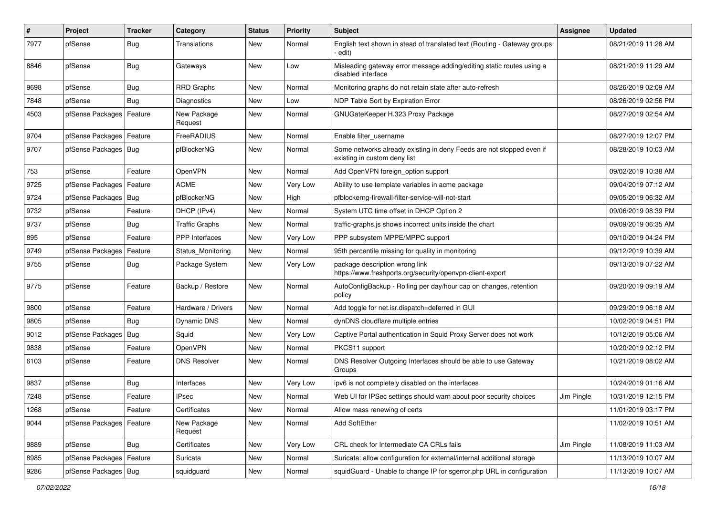| $\pmb{\#}$ | Project                | <b>Tracker</b> | Category               | <b>Status</b> | <b>Priority</b> | <b>Subject</b>                                                                                       | <b>Assignee</b> | <b>Updated</b>      |
|------------|------------------------|----------------|------------------------|---------------|-----------------|------------------------------------------------------------------------------------------------------|-----------------|---------------------|
| 7977       | pfSense                | <b>Bug</b>     | Translations           | New           | Normal          | English text shown in stead of translated text (Routing - Gateway groups<br>· edit)                  |                 | 08/21/2019 11:28 AM |
| 8846       | pfSense                | <b>Bug</b>     | Gateways               | New           | Low             | Misleading gateway error message adding/editing static routes using a<br>disabled interface          |                 | 08/21/2019 11:29 AM |
| 9698       | pfSense                | <b>Bug</b>     | <b>RRD Graphs</b>      | <b>New</b>    | Normal          | Monitoring graphs do not retain state after auto-refresh                                             |                 | 08/26/2019 02:09 AM |
| 7848       | pfSense                | <b>Bug</b>     | <b>Diagnostics</b>     | New           | Low             | NDP Table Sort by Expiration Error                                                                   |                 | 08/26/2019 02:56 PM |
| 4503       | pfSense Packages       | Feature        | New Package<br>Request | New           | Normal          | GNUGateKeeper H.323 Proxy Package                                                                    |                 | 08/27/2019 02:54 AM |
| 9704       | pfSense Packages       | Feature        | FreeRADIUS             | <b>New</b>    | Normal          | Enable filter_username                                                                               |                 | 08/27/2019 12:07 PM |
| 9707       | pfSense Packages   Bug |                | pfBlockerNG            | <b>New</b>    | Normal          | Some networks already existing in deny Feeds are not stopped even if<br>existing in custom deny list |                 | 08/28/2019 10:03 AM |
| 753        | pfSense                | Feature        | OpenVPN                | <b>New</b>    | Normal          | Add OpenVPN foreign_option support                                                                   |                 | 09/02/2019 10:38 AM |
| 9725       | pfSense Packages       | Feature        | <b>ACME</b>            | <b>New</b>    | Very Low        | Ability to use template variables in acme package                                                    |                 | 09/04/2019 07:12 AM |
| 9724       | pfSense Packages       | <b>Bug</b>     | pfBlockerNG            | New           | High            | pfblockerng-firewall-filter-service-will-not-start                                                   |                 | 09/05/2019 06:32 AM |
| 9732       | pfSense                | Feature        | DHCP (IPv4)            | <b>New</b>    | Normal          | System UTC time offset in DHCP Option 2                                                              |                 | 09/06/2019 08:39 PM |
| 9737       | pfSense                | Bug            | <b>Traffic Graphs</b>  | New           | Normal          | traffic-graphs is shows incorrect units inside the chart                                             |                 | 09/09/2019 06:35 AM |
| 895        | pfSense                | Feature        | <b>PPP</b> Interfaces  | <b>New</b>    | Very Low        | PPP subsystem MPPE/MPPC support                                                                      |                 | 09/10/2019 04:24 PM |
| 9749       | pfSense Packages       | Feature        | Status Monitoring      | <b>New</b>    | Normal          | 95th percentile missing for quality in monitoring                                                    |                 | 09/12/2019 10:39 AM |
| 9755       | pfSense                | Bug            | Package System         | New           | Very Low        | package description wrong link<br>https://www.freshports.org/security/openvpn-client-export          |                 | 09/13/2019 07:22 AM |
| 9775       | pfSense                | Feature        | Backup / Restore       | <b>New</b>    | Normal          | AutoConfigBackup - Rolling per day/hour cap on changes, retention<br>policy                          |                 | 09/20/2019 09:19 AM |
| 9800       | pfSense                | Feature        | Hardware / Drivers     | <b>New</b>    | Normal          | Add toggle for net.isr.dispatch=deferred in GUI                                                      |                 | 09/29/2019 06:18 AM |
| 9805       | pfSense                | Bug            | Dynamic DNS            | New           | Normal          | dynDNS cloudflare multiple entries                                                                   |                 | 10/02/2019 04:51 PM |
| 9012       | pfSense Packages       | Bug            | Squid                  | New           | Very Low        | Captive Portal authentication in Squid Proxy Server does not work                                    |                 | 10/12/2019 05:06 AM |
| 9838       | pfSense                | Feature        | OpenVPN                | <b>New</b>    | Normal          | PKCS11 support                                                                                       |                 | 10/20/2019 02:12 PM |
| 6103       | pfSense                | Feature        | <b>DNS Resolver</b>    | New           | Normal          | DNS Resolver Outgoing Interfaces should be able to use Gateway<br>Groups                             |                 | 10/21/2019 08:02 AM |
| 9837       | pfSense                | <b>Bug</b>     | Interfaces             | <b>New</b>    | Very Low        | ipv6 is not completely disabled on the interfaces                                                    |                 | 10/24/2019 01:16 AM |
| 7248       | pfSense                | Feature        | <b>IPsec</b>           | New           | Normal          | Web UI for IPSec settings should warn about poor security choices                                    | Jim Pingle      | 10/31/2019 12:15 PM |
| 1268       | pfSense                | Feature        | Certificates           | New           | Normal          | Allow mass renewing of certs                                                                         |                 | 11/01/2019 03:17 PM |
| 9044       | pfSense Packages       | Feature        | New Package<br>Request | New           | Normal          | Add SoftEther                                                                                        |                 | 11/02/2019 10:51 AM |
| 9889       | pfSense                | Bug            | Certificates           | <b>New</b>    | Very Low        | CRL check for Intermediate CA CRLs fails                                                             | Jim Pingle      | 11/08/2019 11:03 AM |
| 8985       | pfSense Packages       | Feature        | Suricata               | New           | Normal          | Suricata: allow configuration for external/internal additional storage                               |                 | 11/13/2019 10:07 AM |
| 9286       | pfSense Packages   Bug |                | squidguard             | New           | Normal          | squidGuard - Unable to change IP for sgerror.php URL in configuration                                |                 | 11/13/2019 10:07 AM |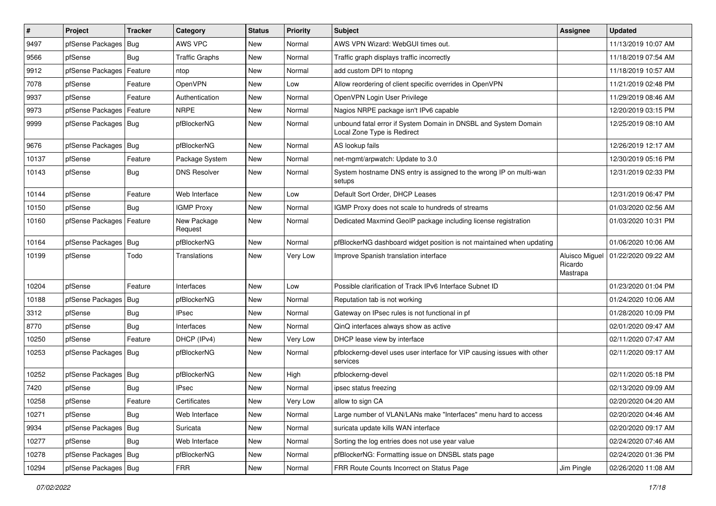| $\vert$ # | Project                    | <b>Tracker</b> | Category               | <b>Status</b> | <b>Priority</b> | <b>Subject</b>                                                                                 | Assignee                              | <b>Updated</b>      |
|-----------|----------------------------|----------------|------------------------|---------------|-----------------|------------------------------------------------------------------------------------------------|---------------------------------------|---------------------|
| 9497      | pfSense Packages           | Bug            | AWS VPC                | New           | Normal          | AWS VPN Wizard: WebGUI times out.                                                              |                                       | 11/13/2019 10:07 AM |
| 9566      | pfSense                    | Bug            | <b>Traffic Graphs</b>  | New           | Normal          | Traffic graph displays traffic incorrectly                                                     |                                       | 11/18/2019 07:54 AM |
| 9912      | pfSense Packages           | Feature        | ntop                   | New           | Normal          | add custom DPI to ntopng                                                                       |                                       | 11/18/2019 10:57 AM |
| 7078      | pfSense                    | Feature        | <b>OpenVPN</b>         | New           | Low             | Allow reordering of client specific overrides in OpenVPN                                       |                                       | 11/21/2019 02:48 PM |
| 9937      | pfSense                    | Feature        | Authentication         | New           | Normal          | OpenVPN Login User Privilege                                                                   |                                       | 11/29/2019 08:46 AM |
| 9973      | pfSense Packages           | Feature        | <b>NRPE</b>            | New           | Normal          | Nagios NRPE package isn't IPv6 capable                                                         |                                       | 12/20/2019 03:15 PM |
| 9999      | pfSense Packages   Bug     |                | pfBlockerNG            | New           | Normal          | unbound fatal error if System Domain in DNSBL and System Domain<br>Local Zone Type is Redirect |                                       | 12/25/2019 08:10 AM |
| 9676      | pfSense Packages           | Bug            | pfBlockerNG            | <b>New</b>    | Normal          | AS lookup fails                                                                                |                                       | 12/26/2019 12:17 AM |
| 10137     | pfSense                    | Feature        | Package System         | New           | Normal          | net-mgmt/arpwatch: Update to 3.0                                                               |                                       | 12/30/2019 05:16 PM |
| 10143     | pfSense                    | Bug            | <b>DNS Resolver</b>    | New           | Normal          | System hostname DNS entry is assigned to the wrong IP on multi-wan<br>setups                   |                                       | 12/31/2019 02:33 PM |
| 10144     | pfSense                    | Feature        | Web Interface          | New           | Low             | Default Sort Order, DHCP Leases                                                                |                                       | 12/31/2019 06:47 PM |
| 10150     | pfSense                    | Bug            | <b>IGMP Proxy</b>      | <b>New</b>    | Normal          | IGMP Proxy does not scale to hundreds of streams                                               |                                       | 01/03/2020 02:56 AM |
| 10160     | pfSense Packages   Feature |                | New Package<br>Request | New           | Normal          | Dedicated Maxmind GeoIP package including license registration                                 |                                       | 01/03/2020 10:31 PM |
| 10164     | pfSense Packages           | Bug            | pfBlockerNG            | New           | Normal          | pfBlockerNG dashboard widget position is not maintained when updating                          |                                       | 01/06/2020 10:06 AM |
| 10199     | pfSense                    | Todo           | Translations           | New           | Very Low        | Improve Spanish translation interface                                                          | Aluisco Miguel<br>Ricardo<br>Mastrapa | 01/22/2020 09:22 AM |
| 10204     | pfSense                    | Feature        | Interfaces             | New           | Low             | Possible clarification of Track IPv6 Interface Subnet ID                                       |                                       | 01/23/2020 01:04 PM |
| 10188     | pfSense Packages           | Bug            | pfBlockerNG            | New           | Normal          | Reputation tab is not working                                                                  |                                       | 01/24/2020 10:06 AM |
| 3312      | pfSense                    | Bug            | <b>IPsec</b>           | New           | Normal          | Gateway on IPsec rules is not functional in pf                                                 |                                       | 01/28/2020 10:09 PM |
| 8770      | pfSense                    | Bug            | Interfaces             | <b>New</b>    | Normal          | QinQ interfaces always show as active                                                          |                                       | 02/01/2020 09:47 AM |
| 10250     | pfSense                    | Feature        | DHCP (IPv4)            | <b>New</b>    | Very Low        | DHCP lease view by interface                                                                   |                                       | 02/11/2020 07:47 AM |
| 10253     | pfSense Packages   Bug     |                | pfBlockerNG            | New           | Normal          | pfblockerng-devel uses user interface for VIP causing issues with other<br>services            |                                       | 02/11/2020 09:17 AM |
| 10252     | pfSense Packages   Bug     |                | pfBlockerNG            | New           | High            | pfblockerng-devel                                                                              |                                       | 02/11/2020 05:18 PM |
| 7420      | pfSense                    | Bug            | <b>IPsec</b>           | <b>New</b>    | Normal          | ipsec status freezing                                                                          |                                       | 02/13/2020 09:09 AM |
| 10258     | pfSense                    | Feature        | Certificates           | New           | Very Low        | allow to sign CA                                                                               |                                       | 02/20/2020 04:20 AM |
| 10271     | pfSense                    | Bug            | Web Interface          | New           | Normal          | Large number of VLAN/LANs make "Interfaces" menu hard to access                                |                                       | 02/20/2020 04:46 AM |
| 9934      | pfSense Packages           | <b>Bug</b>     | Suricata               | New           | Normal          | suricata update kills WAN interface                                                            |                                       | 02/20/2020 09:17 AM |
| 10277     | pfSense                    | <b>Bug</b>     | Web Interface          | New           | Normal          | Sorting the log entries does not use year value                                                |                                       | 02/24/2020 07:46 AM |
| 10278     | pfSense Packages   Bug     |                | pfBlockerNG            | New           | Normal          | pfBlockerNG: Formatting issue on DNSBL stats page                                              |                                       | 02/24/2020 01:36 PM |
| 10294     | pfSense Packages   Bug     |                | <b>FRR</b>             | New           | Normal          | FRR Route Counts Incorrect on Status Page                                                      | Jim Pingle                            | 02/26/2020 11:08 AM |